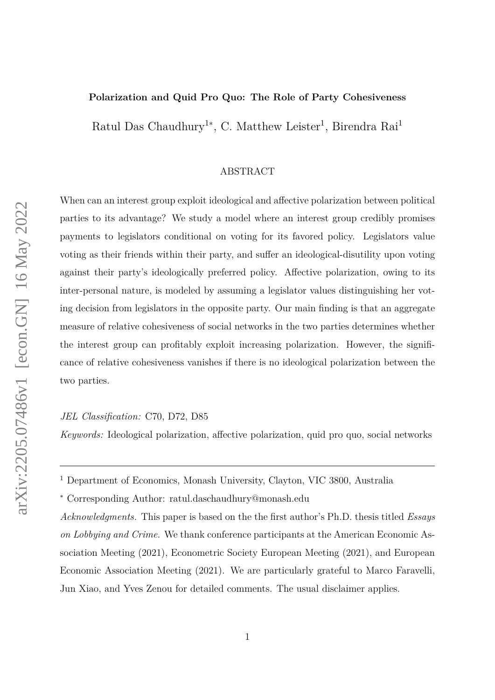#### **Polarization and Quid Pro Quo: The Role of Party Cohesiveness**

Ratul Das Chaudhury<sup>1\*</sup>, C. Matthew Leister<sup>1</sup>, Birendra Rai<sup>1</sup>

#### ABSTRACT

When can an interest group exploit ideological and affective polarization between political parties to its advantage? We study a model where an interest group credibly promises payments to legislators conditional on voting for its favored policy. Legislators value voting as their friends within their party, and suffer an ideological-disutility upon voting against their party's ideologically preferred policy. Affective polarization, owing to its inter-personal nature, is modeled by assuming a legislator values distinguishing her voting decision from legislators in the opposite party. Our main finding is that an aggregate measure of relative cohesiveness of social networks in the two parties determines whether the interest group can profitably exploit increasing polarization. However, the significance of relative cohesiveness vanishes if there is no ideological polarization between the two parties.

*JEL Classification:* C70, D72, D85

*Keywords:* Ideological polarization, affective polarization, quid pro quo, social networks

<sup>∗</sup> Corresponding Author: ratul.daschaudhury@monash.edu

*Acknowledgments.* This paper is based on the the first author's Ph.D. thesis titled *Essays on Lobbying and Crime*. We thank conference participants at the American Economic Association Meeting (2021), Econometric Society European Meeting (2021), and European Economic Association Meeting (2021). We are particularly grateful to Marco Faravelli, Jun Xiao, and Yves Zenou for detailed comments. The usual disclaimer applies.

<sup>&</sup>lt;sup>1</sup> Department of Economics, Monash University, Clayton, VIC 3800, Australia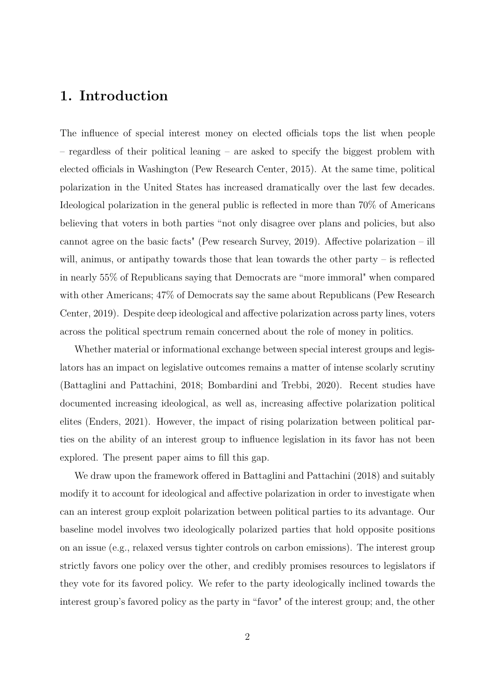## **1. Introduction**

The influence of special interest money on elected officials tops the list when people – regardless of their political leaning – are asked to specify the biggest problem with elected officials in Washington (Pew Research Center, 2015). At the same time, political polarization in the United States has increased dramatically over the last few decades. Ideological polarization in the general public is reflected in more than 70% of Americans believing that voters in both parties "not only disagree over plans and policies, but also cannot agree on the basic facts" (Pew research Survey, 2019). Affective polarization – ill will, animus, or antipathy towards those that lean towards the other party – is reflected in nearly 55% of Republicans saying that Democrats are "more immoral" when compared with other Americans; 47% of Democrats say the same about Republicans (Pew Research Center, 2019). Despite deep ideological and affective polarization across party lines, voters across the political spectrum remain concerned about the role of money in politics.

Whether material or informational exchange between special interest groups and legislators has an impact on legislative outcomes remains a matter of intense scolarly scrutiny (Battaglini and Pattachini, 2018; Bombardini and Trebbi, 2020). Recent studies have documented increasing ideological, as well as, increasing affective polarization political elites (Enders, 2021). However, the impact of rising polarization between political parties on the ability of an interest group to influence legislation in its favor has not been explored. The present paper aims to fill this gap.

We draw upon the framework offered in Battaglini and Pattachini (2018) and suitably modify it to account for ideological and affective polarization in order to investigate when can an interest group exploit polarization between political parties to its advantage. Our baseline model involves two ideologically polarized parties that hold opposite positions on an issue (e.g., relaxed versus tighter controls on carbon emissions). The interest group strictly favors one policy over the other, and credibly promises resources to legislators if they vote for its favored policy. We refer to the party ideologically inclined towards the interest group's favored policy as the party in "favor" of the interest group; and, the other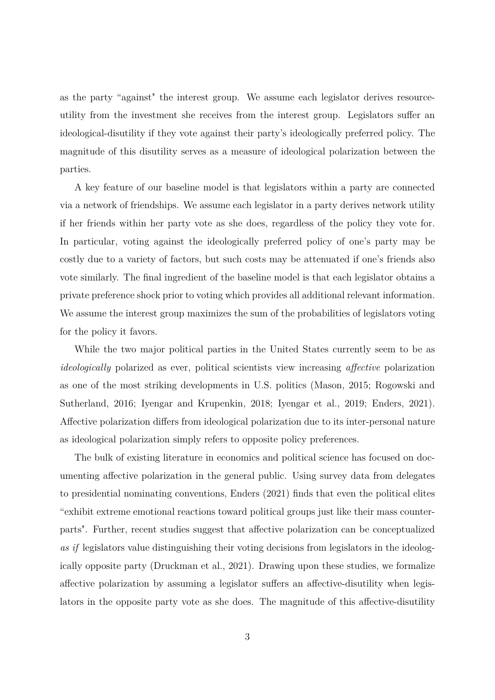as the party "against" the interest group. We assume each legislator derives resourceutility from the investment she receives from the interest group. Legislators suffer an ideological-disutility if they vote against their party's ideologically preferred policy. The magnitude of this disutility serves as a measure of ideological polarization between the parties.

A key feature of our baseline model is that legislators within a party are connected via a network of friendships. We assume each legislator in a party derives network utility if her friends within her party vote as she does, regardless of the policy they vote for. In particular, voting against the ideologically preferred policy of one's party may be costly due to a variety of factors, but such costs may be attenuated if one's friends also vote similarly. The final ingredient of the baseline model is that each legislator obtains a private preference shock prior to voting which provides all additional relevant information. We assume the interest group maximizes the sum of the probabilities of legislators voting for the policy it favors.

While the two major political parties in the United States currently seem to be as *ideologically* polarized as ever, political scientists view increasing *affective* polarization as one of the most striking developments in U.S. politics (Mason, 2015; Rogowski and Sutherland, 2016; Iyengar and Krupenkin, 2018; Iyengar et al., 2019; Enders, 2021). Affective polarization differs from ideological polarization due to its inter-personal nature as ideological polarization simply refers to opposite policy preferences.

The bulk of existing literature in economics and political science has focused on documenting affective polarization in the general public. Using survey data from delegates to presidential nominating conventions, Enders (2021) finds that even the political elites "exhibit extreme emotional reactions toward political groups just like their mass counterparts". Further, recent studies suggest that affective polarization can be conceptualized *as if* legislators value distinguishing their voting decisions from legislators in the ideologically opposite party (Druckman et al., 2021). Drawing upon these studies, we formalize affective polarization by assuming a legislator suffers an affective-disutility when legislators in the opposite party vote as she does. The magnitude of this affective-disutility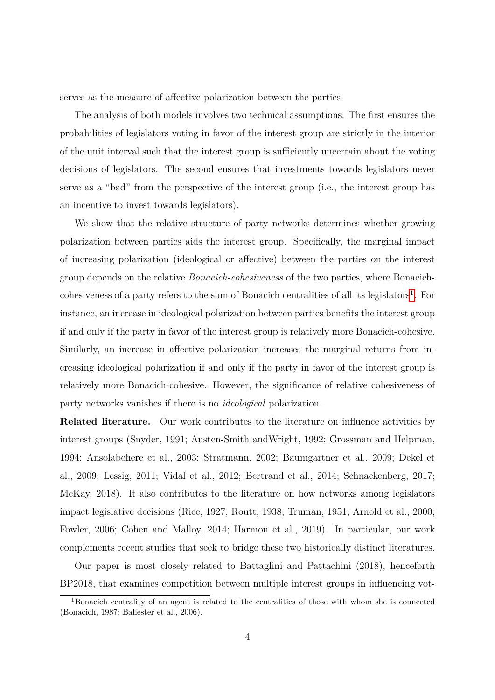serves as the measure of affective polarization between the parties.

The analysis of both models involves two technical assumptions. The first ensures the probabilities of legislators voting in favor of the interest group are strictly in the interior of the unit interval such that the interest group is sufficiently uncertain about the voting decisions of legislators. The second ensures that investments towards legislators never serve as a "bad" from the perspective of the interest group (i.e., the interest group has an incentive to invest towards legislators).

We show that the relative structure of party networks determines whether growing polarization between parties aids the interest group. Specifically, the marginal impact of increasing polarization (ideological or affective) between the parties on the interest group depends on the relative *Bonacich-cohesiveness* of the two parties, where Bonacich-cohesiveness of a party refers to the sum of Bonacich centralities of all its legislators<sup>[1](#page-3-0)</sup>. For instance, an increase in ideological polarization between parties benefits the interest group if and only if the party in favor of the interest group is relatively more Bonacich-cohesive. Similarly, an increase in affective polarization increases the marginal returns from increasing ideological polarization if and only if the party in favor of the interest group is relatively more Bonacich-cohesive. However, the significance of relative cohesiveness of party networks vanishes if there is no *ideological* polarization.

**Related literature.** Our work contributes to the literature on influence activities by interest groups (Snyder, 1991; Austen-Smith andWright, 1992; Grossman and Helpman, 1994; Ansolabehere et al., 2003; Stratmann, 2002; Baumgartner et al., 2009; Dekel et al., 2009; Lessig, 2011; Vidal et al., 2012; Bertrand et al., 2014; Schnackenberg, 2017; McKay, 2018). It also contributes to the literature on how networks among legislators impact legislative decisions (Rice, 1927; Routt, 1938; Truman, 1951; Arnold et al., 2000; Fowler, 2006; Cohen and Malloy, 2014; Harmon et al., 2019). In particular, our work complements recent studies that seek to bridge these two historically distinct literatures.

Our paper is most closely related to Battaglini and Pattachini (2018), henceforth BP2018, that examines competition between multiple interest groups in influencing vot-

<span id="page-3-0"></span><sup>1</sup>Bonacich centrality of an agent is related to the centralities of those with whom she is connected (Bonacich, 1987; Ballester et al., 2006).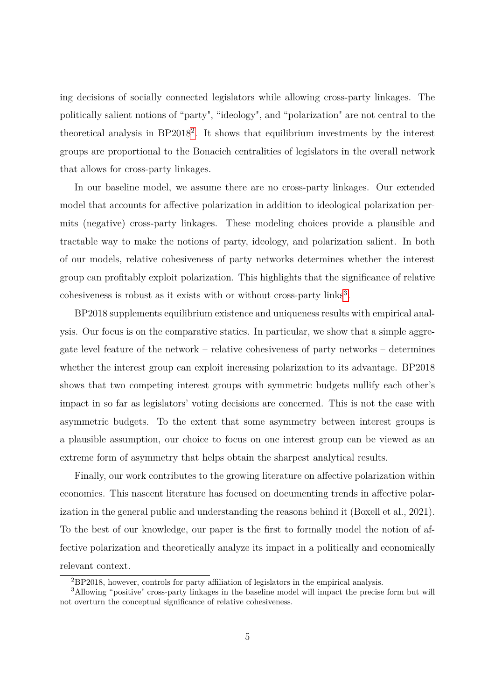ing decisions of socially connected legislators while allowing cross-party linkages. The politically salient notions of "party", "ideology", and "polarization" are not central to the theoretical analysis in  $BP2018^2$  $BP2018^2$  $BP2018^2$ . It shows that equilibrium investments by the interest groups are proportional to the Bonacich centralities of legislators in the overall network that allows for cross-party linkages.

In our baseline model, we assume there are no cross-party linkages. Our extended model that accounts for affective polarization in addition to ideological polarization permits (negative) cross-party linkages. These modeling choices provide a plausible and tractable way to make the notions of party, ideology, and polarization salient. In both of our models, relative cohesiveness of party networks determines whether the interest group can profitably exploit polarization. This highlights that the significance of relative cohesiveness is robust as it exists with or without cross-party links<sup>[3](#page-4-1)</sup>.

BP2018 supplements equilibrium existence and uniqueness results with empirical analysis. Our focus is on the comparative statics. In particular, we show that a simple aggregate level feature of the network – relative cohesiveness of party networks – determines whether the interest group can exploit increasing polarization to its advantage. BP2018 shows that two competing interest groups with symmetric budgets nullify each other's impact in so far as legislators' voting decisions are concerned. This is not the case with asymmetric budgets. To the extent that some asymmetry between interest groups is a plausible assumption, our choice to focus on one interest group can be viewed as an extreme form of asymmetry that helps obtain the sharpest analytical results.

Finally, our work contributes to the growing literature on affective polarization within economics. This nascent literature has focused on documenting trends in affective polarization in the general public and understanding the reasons behind it (Boxell et al., 2021). To the best of our knowledge, our paper is the first to formally model the notion of affective polarization and theoretically analyze its impact in a politically and economically relevant context.

<span id="page-4-1"></span><span id="page-4-0"></span><sup>2</sup>BP2018, however, controls for party affiliation of legislators in the empirical analysis.

<sup>3</sup>Allowing "positive" cross-party linkages in the baseline model will impact the precise form but will not overturn the conceptual significance of relative cohesiveness.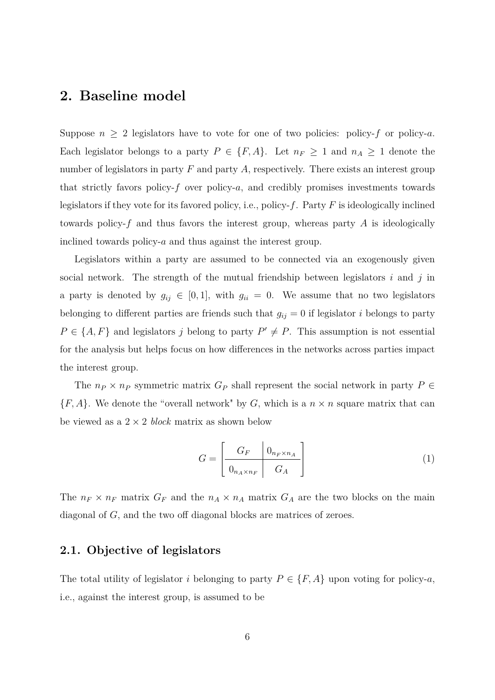### **2. Baseline model**

Suppose  $n \geq 2$  legislators have to vote for one of two policies: policy-*f* or policy-*a*. Each legislator belongs to a party  $P \in \{F, A\}$ . Let  $n_F \geq 1$  and  $n_A \geq 1$  denote the number of legislators in party *F* and party *A*, respectively. There exists an interest group that strictly favors policy-*f* over policy-*a*, and credibly promises investments towards legislators if they vote for its favored policy, i.e., policy-*f*. Party *F* is ideologically inclined towards policy-*f* and thus favors the interest group, whereas party *A* is ideologically inclined towards policy-*a* and thus against the interest group.

Legislators within a party are assumed to be connected via an exogenously given social network. The strength of the mutual friendship between legislators *i* and *j* in a party is denoted by  $g_{ij} \in [0,1]$ , with  $g_{ii} = 0$ . We assume that no two legislators belonging to different parties are friends such that  $g_{ij} = 0$  if legislator *i* belongs to party  $P \in \{A, F\}$  and legislators *j* belong to party  $P' \neq P$ . This assumption is not essential for the analysis but helps focus on how differences in the networks across parties impact the interest group.

The  $n_P \times n_P$  symmetric matrix  $G_P$  shall represent the social network in party  $P \in$  ${F, A}$ . We denote the "overall network" by *G*, which is a  $n \times n$  square matrix that can be viewed as a 2 × 2 *block* matrix as shown below

$$
G = \left[ \begin{array}{c|c} G_F & 0_{n_F \times n_A} \\ \hline 0_{n_A \times n_F} & G_A \end{array} \right] \tag{1}
$$

The  $n_F \times n_F$  matrix  $G_F$  and the  $n_A \times n_A$  matrix  $G_A$  are the two blocks on the main diagonal of *G*, and the two off diagonal blocks are matrices of zeroes.

### **2.1. Objective of legislators**

The total utility of legislator *i* belonging to party  $P \in \{F, A\}$  upon voting for policy-*a*, i.e., against the interest group, is assumed to be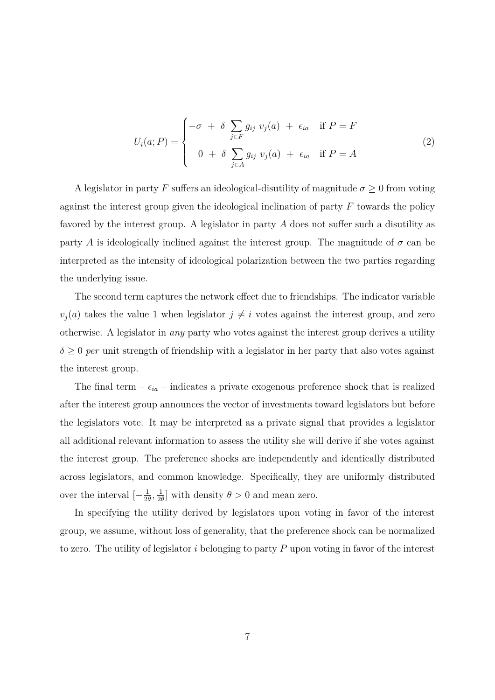$$
U_i(a;P) = \begin{cases} -\sigma + \delta \sum_{j \in F} g_{ij} \ v_j(a) + \epsilon_{ia} & \text{if } P = F \\ 0 + \delta \sum_{j \in A} g_{ij} \ v_j(a) + \epsilon_{ia} & \text{if } P = A \end{cases}
$$
 (2)

A legislator in party *F* suffers an ideological-disutility of magnitude  $\sigma \geq 0$  from voting against the interest group given the ideological inclination of party *F* towards the policy favored by the interest group. A legislator in party *A* does not suffer such a disutility as party *A* is ideologically inclined against the interest group. The magnitude of  $\sigma$  can be interpreted as the intensity of ideological polarization between the two parties regarding the underlying issue.

The second term captures the network effect due to friendships. The indicator variable  $v_j(a)$  takes the value 1 when legislator  $j \neq i$  votes against the interest group, and zero otherwise. A legislator in *any* party who votes against the interest group derives a utility  $\delta \geq 0$  *per* unit strength of friendship with a legislator in her party that also votes against the interest group.

The final term  $-\epsilon_{ia}$  – indicates a private exogenous preference shock that is realized after the interest group announces the vector of investments toward legislators but before the legislators vote. It may be interpreted as a private signal that provides a legislator all additional relevant information to assess the utility she will derive if she votes against the interest group. The preference shocks are independently and identically distributed across legislators, and common knowledge. Specifically, they are uniformly distributed over the interval  $\left[-\frac{1}{2}\right]$  $\frac{1}{2\theta}$ ,  $\frac{1}{2\theta}$  $\frac{1}{2\theta}$  with density  $\theta > 0$  and mean zero.

In specifying the utility derived by legislators upon voting in favor of the interest group, we assume, without loss of generality, that the preference shock can be normalized to zero. The utility of legislator *i* belonging to party *P* upon voting in favor of the interest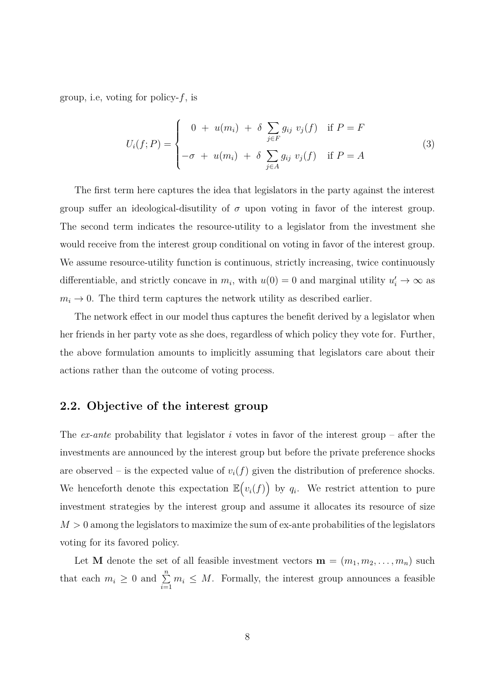group, i.e, voting for policy-*f*, is

$$
U_i(f;P) = \begin{cases} 0 + u(m_i) + \delta \sum_{j \in F} g_{ij} \ v_j(f) & \text{if } P = F \\ -\sigma + u(m_i) + \delta \sum_{j \in A} g_{ij} \ v_j(f) & \text{if } P = A \end{cases}
$$
 (3)

The first term here captures the idea that legislators in the party against the interest group suffer an ideological-disutility of  $\sigma$  upon voting in favor of the interest group. The second term indicates the resource-utility to a legislator from the investment she would receive from the interest group conditional on voting in favor of the interest group. We assume resource-utility function is continuous, strictly increasing, twice continuously differentiable, and strictly concave in  $m_i$ , with  $u(0) = 0$  and marginal utility  $u'_i \to \infty$  as  $m_i \rightarrow 0$ . The third term captures the network utility as described earlier.

The network effect in our model thus captures the benefit derived by a legislator when her friends in her party vote as she does, regardless of which policy they vote for. Further, the above formulation amounts to implicitly assuming that legislators care about their actions rather than the outcome of voting process.

#### **2.2. Objective of the interest group**

The *ex-ante* probability that legislator *i* votes in favor of the interest group – after the investments are announced by the interest group but before the private preference shocks are observed – is the expected value of  $v_i(f)$  given the distribution of preference shocks. We henceforth denote this expectation  $\mathbb{E}(v_i(f))$  by  $q_i$ . We restrict attention to pure investment strategies by the interest group and assume it allocates its resource of size  $M > 0$  among the legislators to maximize the sum of ex-ante probabilities of the legislators voting for its favored policy.

Let **M** denote the set of all feasible investment vectors  $\mathbf{m} = (m_1, m_2, \dots, m_n)$  such that each  $m_i \geq 0$  and  $\sum_{i=1}^n m_i \leq M$ . Formally, the interest group announces a feasible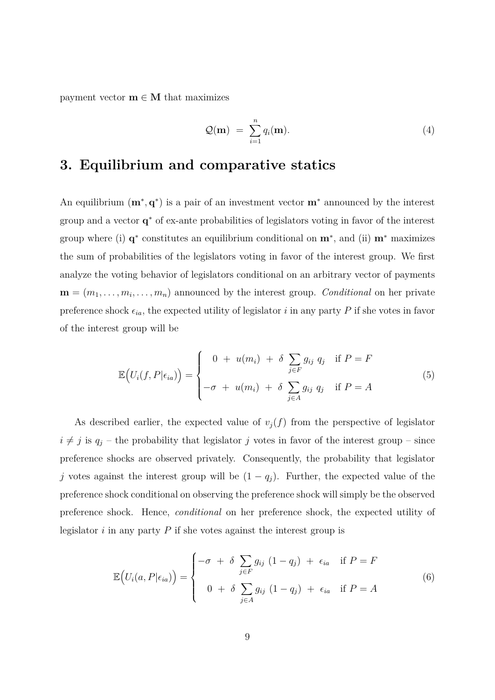payment vector  $\mathbf{m} \in \mathbf{M}$  that maximizes

$$
\mathcal{Q}(\mathbf{m}) = \sum_{i=1}^{n} q_i(\mathbf{m}). \tag{4}
$$

# **3. Equilibrium and comparative statics**

An equilibrium  $(\mathbf{m}^*, \mathbf{q}^*)$  is a pair of an investment vector  $\mathbf{m}^*$  announced by the interest group and a vector **q** <sup>∗</sup> of ex-ante probabilities of legislators voting in favor of the interest group where (i) **q**<sup>∗</sup> constitutes an equilibrium conditional on **m**<sup>∗</sup>, and (ii) **m**<sup>∗</sup> maximizes the sum of probabilities of the legislators voting in favor of the interest group. We first analyze the voting behavior of legislators conditional on an arbitrary vector of payments  $\mathbf{m} = (m_1, \ldots, m_i, \ldots, m_n)$  announced by the interest group. *Conditional* on her private preference shock  $\epsilon_{ia}$ , the expected utility of legislator *i* in any party *P* if she votes in favor of the interest group will be

$$
\mathbb{E}\left(U_i(f, P|\epsilon_{ia})\right) = \begin{cases} 0 + u(m_i) + \delta \sum_{j \in F} g_{ij} q_j & \text{if } P = F \\ -\sigma + u(m_i) + \delta \sum_{j \in A} g_{ij} q_j & \text{if } P = A \end{cases}
$$
(5)

As described earlier, the expected value of  $v_j(f)$  from the perspective of legislator  $i \neq j$  is  $q_j$  – the probability that legislator *j* votes in favor of the interest group – since preference shocks are observed privately. Consequently, the probability that legislator *j* votes against the interest group will be  $(1 - q_i)$ . Further, the expected value of the preference shock conditional on observing the preference shock will simply be the observed preference shock. Hence, *conditional* on her preference shock, the expected utility of legislator *i* in any party *P* if she votes against the interest group is

$$
\mathbb{E}\left(U_i(a, P|\epsilon_{ia})\right) = \begin{cases}\n-\sigma + \delta \sum_{j \in F} g_{ij} (1 - q_j) + \epsilon_{ia} & \text{if } P = F \\
0 + \delta \sum_{j \in A} g_{ij} (1 - q_j) + \epsilon_{ia} & \text{if } P = A\n\end{cases}
$$
\n(6)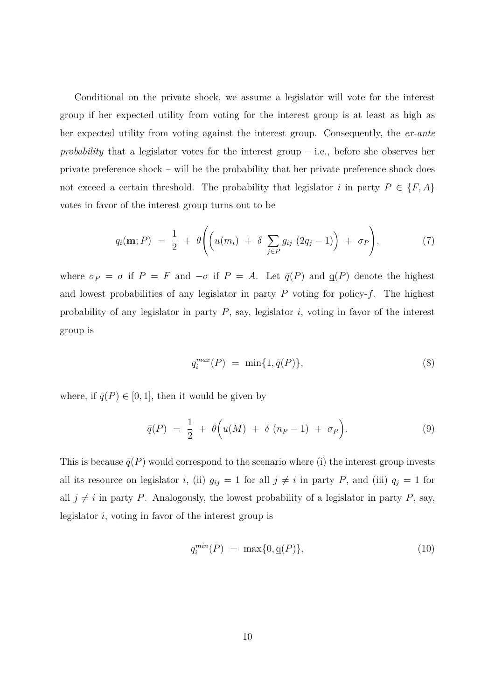Conditional on the private shock, we assume a legislator will vote for the interest group if her expected utility from voting for the interest group is at least as high as her expected utility from voting against the interest group. Consequently, the *ex-ante probability* that a legislator votes for the interest group – i.e., before she observes her private preference shock – will be the probability that her private preference shock does not exceed a certain threshold. The probability that legislator *i* in party  $P \in \{F, A\}$ votes in favor of the interest group turns out to be

$$
q_i(\mathbf{m};P) = \frac{1}{2} + \theta \Biggl( \Biggl( u(m_i) + \delta \sum_{j \in P} g_{ij} (2q_j - 1) \Biggr) + \sigma_P \Biggr), \tag{7}
$$

where  $\sigma_P = \sigma$  if  $P = F$  and  $-\sigma$  if  $P = A$ . Let  $\bar{q}(P)$  and  $q(P)$  denote the highest and lowest probabilities of any legislator in party *P* voting for policy-*f*. The highest probability of any legislator in party *P*, say, legislator *i*, voting in favor of the interest group is

$$
q_i^{max}(P) = \min\{1, \bar{q}(P)\},\tag{8}
$$

where, if  $\bar{q}(P) \in [0, 1]$ , then it would be given by

$$
\bar{q}(P) = \frac{1}{2} + \theta \Big( u(M) + \delta (n_P - 1) + \sigma_P \Big). \tag{9}
$$

This is because  $\bar{q}(P)$  would correspond to the scenario where (i) the interest group invests all its resource on legislator *i*, (ii)  $g_{ij} = 1$  for all  $j \neq i$  in party *P*, and (iii)  $q_j = 1$  for all  $j \neq i$  in party *P*. Analogously, the lowest probability of a legislator in party *P*, say, legislator *i*, voting in favor of the interest group is

$$
q_i^{min}(P) = \max\{0, \mathbf{q}(P)\},\tag{10}
$$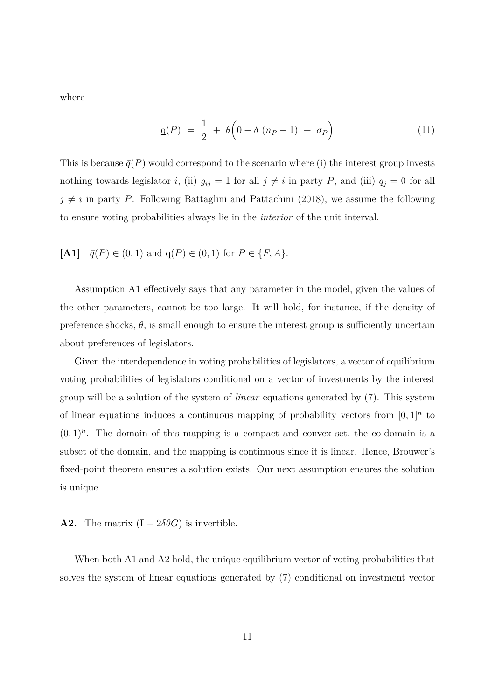where

$$
q(P) = \frac{1}{2} + \theta \left(0 - \delta (n_P - 1) + \sigma_P\right) \tag{11}
$$

This is because  $\bar{q}(P)$  would correspond to the scenario where (i) the interest group invests nothing towards legislator *i*, (ii)  $g_{ij} = 1$  for all  $j \neq i$  in party *P*, and (iii)  $q_j = 0$  for all  $j \neq i$  in party *P*. Following Battaglini and Pattachini (2018), we assume the following to ensure voting probabilities always lie in the *interior* of the unit interval.

[A1] 
$$
\bar{q}(P) \in (0,1)
$$
 and  $q(P) \in (0,1)$  for  $P \in \{F, A\}.$ 

Assumption A1 effectively says that any parameter in the model, given the values of the other parameters, cannot be too large. It will hold, for instance, if the density of preference shocks,  $\theta$ , is small enough to ensure the interest group is sufficiently uncertain about preferences of legislators.

Given the interdependence in voting probabilities of legislators, a vector of equilibrium voting probabilities of legislators conditional on a vector of investments by the interest group will be a solution of the system of *linear* equations generated by (7). This system of linear equations induces a continuous mapping of probability vectors from  $[0,1]^n$  to  $(0,1)^n$ . The domain of this mapping is a compact and convex set, the co-domain is a subset of the domain, and the mapping is continuous since it is linear. Hence, Brouwer's fixed-point theorem ensures a solution exists. Our next assumption ensures the solution is unique.

#### **A2.** The matrix  $(I - 2\delta\theta G)$  is invertible.

When both A1 and A2 hold, the unique equilibrium vector of voting probabilities that solves the system of linear equations generated by (7) conditional on investment vector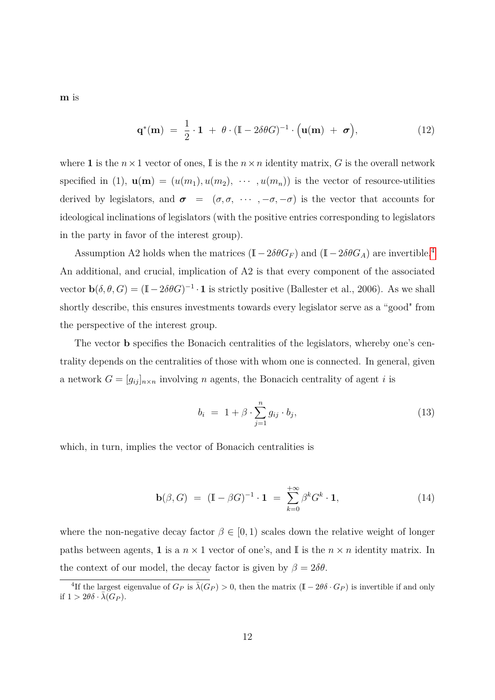**m** is

$$
\mathbf{q}^*(\mathbf{m}) = \frac{1}{2} \cdot \mathbf{1} + \theta \cdot (\mathbb{I} - 2\delta\theta G)^{-1} \cdot (\mathbf{u}(\mathbf{m}) + \boldsymbol{\sigma}), \tag{12}
$$

where **1** is the  $n \times 1$  vector of ones, I is the  $n \times n$  identity matrix, G is the overall network specified in (1),  $\mathbf{u}(\mathbf{m}) = (u(m_1), u(m_2), \cdots, u(m_n))$  is the vector of resource-utilities derived by legislators, and  $\sigma = (\sigma, \sigma, \cdots, -\sigma, -\sigma)$  is the vector that accounts for ideological inclinations of legislators (with the positive entries corresponding to legislators in the party in favor of the interest group).

Assumption A2 holds when the matrices  $(I - 2\delta\theta G_F)$  and  $(I - 2\delta\theta G_A)$  are invertible.<sup>[4](#page-11-0)</sup> An additional, and crucial, implication of A2 is that every component of the associated vector  $\mathbf{b}(\delta, \theta, G) = (\mathbb{I} - 2\delta\theta G)^{-1} \cdot \mathbf{1}$  is strictly positive (Ballester et al., 2006). As we shall shortly describe, this ensures investments towards every legislator serve as a "good" from the perspective of the interest group.

The vector **b** specifies the Bonacich centralities of the legislators, whereby one's centrality depends on the centralities of those with whom one is connected. In general, given a network  $G = [g_{ij}]_{n \times n}$  involving *n* agents, the Bonacich centrality of agent *i* is

$$
b_i = 1 + \beta \cdot \sum_{j=1}^n g_{ij} \cdot b_j, \qquad (13)
$$

which, in turn, implies the vector of Bonacich centralities is

$$
\mathbf{b}(\beta, G) = (\mathbb{I} - \beta G)^{-1} \cdot \mathbf{1} = \sum_{k=0}^{+\infty} \beta^k G^k \cdot \mathbf{1}, \qquad (14)
$$

where the non-negative decay factor  $\beta \in [0,1)$  scales down the relative weight of longer paths between agents, **1** is a  $n \times 1$  vector of one's, and I is the  $n \times n$  identity matrix. In the context of our model, the decay factor is given by  $\beta = 2\delta\theta$ .

<span id="page-11-0"></span><sup>&</sup>lt;sup>4</sup>If the largest eigenvalue of  $G_P$  is  $\bar{\lambda}(G_P) > 0$ , then the matrix  $(\mathbb{I} - 2\theta \delta \cdot G_P)$  is invertible if and only if  $1 > 2\theta\delta \cdot \bar{\lambda}(G_P)$ .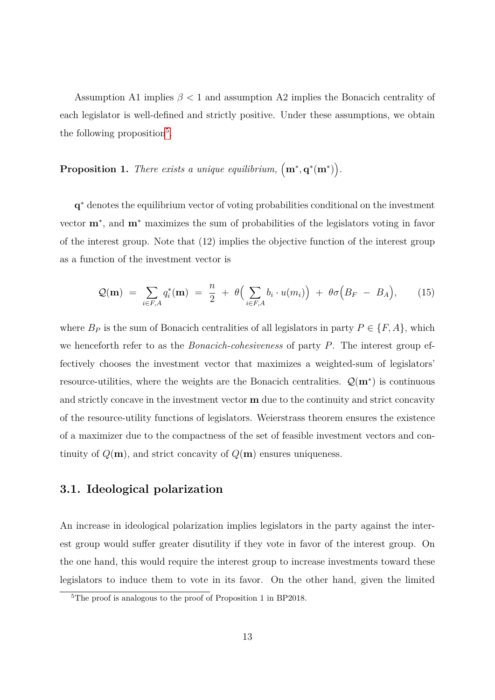Assumption A1 implies  $\beta$  < 1 and assumption A2 implies the Bonacich centrality of each legislator is well-defined and strictly positive. Under these assumptions, we obtain the following proposition<sup>[5](#page-12-0)</sup>.

### **Proposition 1.** *There exists a unique equilibrium,*  $(m^*, q^*(m^*))$ .

**q** <sup>∗</sup> denotes the equilibrium vector of voting probabilities conditional on the investment vector **m**<sup>∗</sup> , and **m**<sup>∗</sup> maximizes the sum of probabilities of the legislators voting in favor of the interest group. Note that (12) implies the objective function of the interest group as a function of the investment vector is

$$
\mathcal{Q}(\mathbf{m}) = \sum_{i \in F,A} q_i^*(\mathbf{m}) = \frac{n}{2} + \theta \Big( \sum_{i \in F,A} b_i \cdot u(m_i) \Big) + \theta \sigma \Big( B_F - B_A \Big), \qquad (15)
$$

where  $B_P$  is the sum of Bonacich centralities of all legislators in party  $P \in \{F, A\}$ , which we henceforth refer to as the *Bonacich-cohesiveness* of party *P*. The interest group effectively chooses the investment vector that maximizes a weighted-sum of legislators' resource-utilities, where the weights are the Bonacich centralities. Q(**m**<sup>∗</sup> ) is continuous and strictly concave in the investment vector **m** due to the continuity and strict concavity of the resource-utility functions of legislators. Weierstrass theorem ensures the existence of a maximizer due to the compactness of the set of feasible investment vectors and continuity of  $Q(\mathbf{m})$ , and strict concavity of  $Q(\mathbf{m})$  ensures uniqueness.

#### **3.1. Ideological polarization**

An increase in ideological polarization implies legislators in the party against the interest group would suffer greater disutility if they vote in favor of the interest group. On the one hand, this would require the interest group to increase investments toward these legislators to induce them to vote in its favor. On the other hand, given the limited

<span id="page-12-0"></span><sup>&</sup>lt;sup>5</sup>The proof is analogous to the proof of Proposition 1 in BP2018.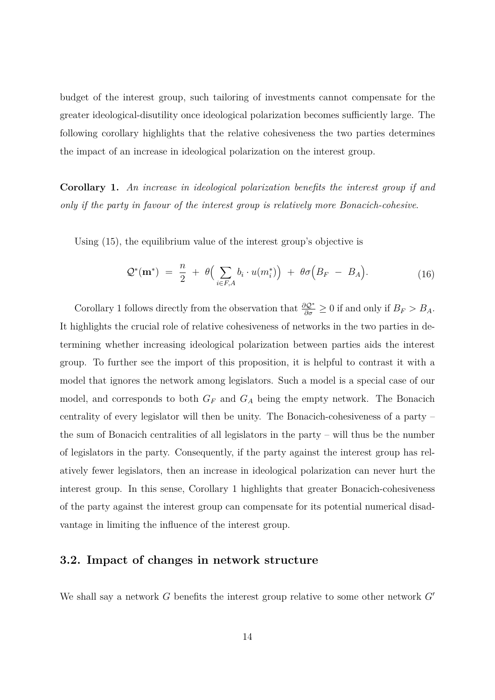budget of the interest group, such tailoring of investments cannot compensate for the greater ideological-disutility once ideological polarization becomes sufficiently large. The following corollary highlights that the relative cohesiveness the two parties determines the impact of an increase in ideological polarization on the interest group.

**Corollary 1.** *An increase in ideological polarization benefits the interest group if and only if the party in favour of the interest group is relatively more Bonacich-cohesive*.

Using (15), the equilibrium value of the interest group's objective is

$$
\mathcal{Q}^*(\mathbf{m}^*) = \frac{n}{2} + \theta \Big( \sum_{i \in F, A} b_i \cdot u(m_i^*) \Big) + \theta \sigma \Big( B_F - B_A \Big). \tag{16}
$$

Corollary 1 follows directly from the observation that  $\frac{\partial Q^*}{\partial \sigma} \geq 0$  if and only if  $B_F > B_A$ . It highlights the crucial role of relative cohesiveness of networks in the two parties in determining whether increasing ideological polarization between parties aids the interest group. To further see the import of this proposition, it is helpful to contrast it with a model that ignores the network among legislators. Such a model is a special case of our model, and corresponds to both  $G_F$  and  $G_A$  being the empty network. The Bonacich centrality of every legislator will then be unity. The Bonacich-cohesiveness of a party – the sum of Bonacich centralities of all legislators in the party – will thus be the number of legislators in the party. Consequently, if the party against the interest group has relatively fewer legislators, then an increase in ideological polarization can never hurt the interest group. In this sense, Corollary 1 highlights that greater Bonacich-cohesiveness of the party against the interest group can compensate for its potential numerical disadvantage in limiting the influence of the interest group.

#### **3.2. Impact of changes in network structure**

We shall say a network  $G$  benefits the interest group relative to some other network  $G'$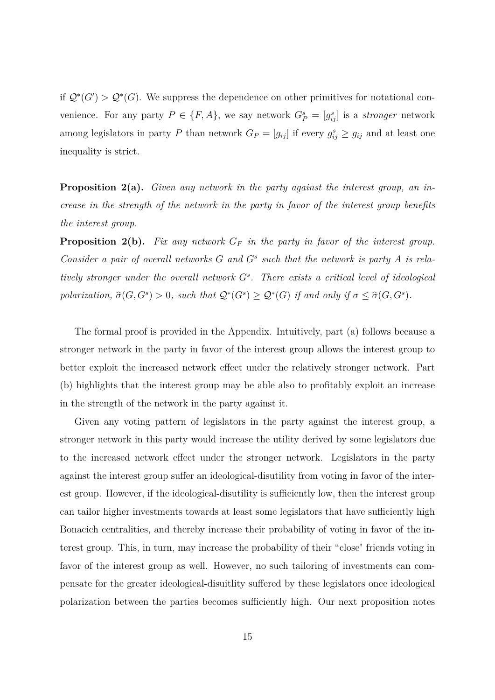if  $\mathcal{Q}^*(G') > \mathcal{Q}^*(G)$ . We suppress the dependence on other primitives for notational convenience. For any party  $P \in \{F, A\}$ , we say network  $G_P^s = [g_{ij}^s]$  is a *stronger* network among legislators in party *P* than network  $G_P = [g_{ij}]$  if every  $g_{ij}^s \ge g_{ij}$  and at least one inequality is strict.

**Proposition 2(a).** *Given any network in the party against the interest group, an increase in the strength of the network in the party in favor of the interest group benefits the interest group.*

**Proposition 2(b).** *Fix any network G<sup>F</sup> in the party in favor of the interest group. Consider a pair of overall networks G and G<sup>s</sup> such that the network is party A is relatively stronger under the overall network G<sup>s</sup> . There exists a critical level of ideological polarization,*  $\hat{\sigma}(G, G^s) > 0$ *, such that*  $Q^*(G^s) \ge Q^*(G)$  *if and only if*  $\sigma \le \hat{\sigma}(G, G^s)$ *.* 

The formal proof is provided in the Appendix. Intuitively, part (a) follows because a stronger network in the party in favor of the interest group allows the interest group to better exploit the increased network effect under the relatively stronger network. Part (b) highlights that the interest group may be able also to profitably exploit an increase in the strength of the network in the party against it.

Given any voting pattern of legislators in the party against the interest group, a stronger network in this party would increase the utility derived by some legislators due to the increased network effect under the stronger network. Legislators in the party against the interest group suffer an ideological-disutility from voting in favor of the interest group. However, if the ideological-disutility is sufficiently low, then the interest group can tailor higher investments towards at least some legislators that have sufficiently high Bonacich centralities, and thereby increase their probability of voting in favor of the interest group. This, in turn, may increase the probability of their "close" friends voting in favor of the interest group as well. However, no such tailoring of investments can compensate for the greater ideological-disuitlity suffered by these legislators once ideological polarization between the parties becomes sufficiently high. Our next proposition notes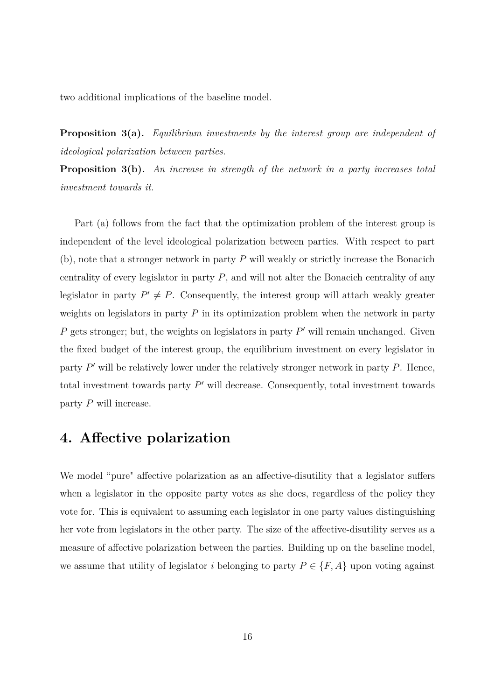two additional implications of the baseline model.

**Proposition 3(a).** *Equilibrium investments by the interest group are independent of ideological polarization between parties.*

**Proposition 3(b).** *An increase in strength of the network in a party increases total investment towards it.*

Part (a) follows from the fact that the optimization problem of the interest group is independent of the level ideological polarization between parties. With respect to part (b), note that a stronger network in party *P* will weakly or strictly increase the Bonacich centrality of every legislator in party *P*, and will not alter the Bonacich centrality of any legislator in party  $P' \neq P$ . Consequently, the interest group will attach weakly greater weights on legislators in party *P* in its optimization problem when the network in party  $P$  gets stronger; but, the weights on legislators in party  $P'$  will remain unchanged. Given the fixed budget of the interest group, the equilibrium investment on every legislator in party  $P'$  will be relatively lower under the relatively stronger network in party  $P$ . Hence, total investment towards party  $P'$  will decrease. Consequently, total investment towards party *P* will increase.

## **4. Affective polarization**

We model "pure" affective polarization as an affective-disutility that a legislator suffers when a legislator in the opposite party votes as she does, regardless of the policy they vote for. This is equivalent to assuming each legislator in one party values distinguishing her vote from legislators in the other party. The size of the affective-disutility serves as a measure of affective polarization between the parties. Building up on the baseline model, we assume that utility of legislator *i* belonging to party  $P \in \{F, A\}$  upon voting against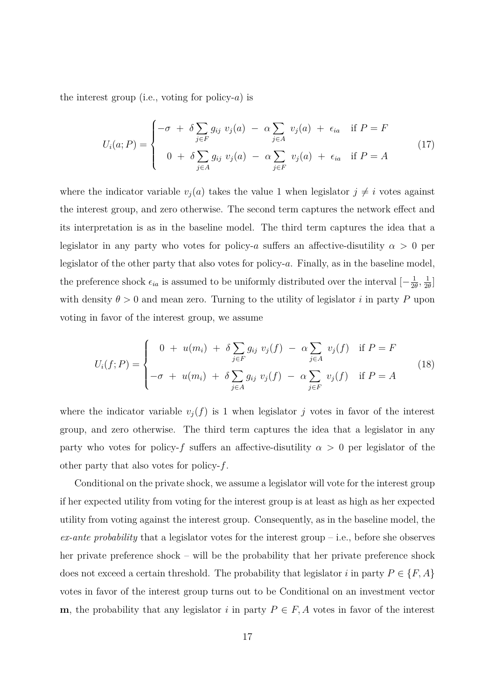the interest group (i.e., voting for policy-*a*) is

$$
U_i(a;P) = \begin{cases} -\sigma + \delta \sum_{j \in F} g_{ij} \ v_j(a) - \alpha \sum_{j \in A} \ v_j(a) + \epsilon_{ia} & \text{if } P = F \\ 0 + \delta \sum_{j \in A} g_{ij} \ v_j(a) - \alpha \sum_{j \in F} \ v_j(a) + \epsilon_{ia} & \text{if } P = A \end{cases}
$$
(17)

where the indicator variable  $v_j(a)$  takes the value 1 when legislator  $j \neq i$  votes against the interest group, and zero otherwise. The second term captures the network effect and its interpretation is as in the baseline model. The third term captures the idea that a legislator in any party who votes for policy-*a* suffers an affective-disutility  $\alpha > 0$  per legislator of the other party that also votes for policy-*a*. Finally, as in the baseline model, the preference shock  $\epsilon_{ia}$  is assumed to be uniformly distributed over the interval  $\left[-\frac{1}{2}a\right]$  $\frac{1}{2\theta}$ ,  $\frac{1}{2\theta}$  $\frac{1}{2\theta}$ ] with density  $\theta > 0$  and mean zero. Turning to the utility of legislator *i* in party P upon voting in favor of the interest group, we assume

$$
U_i(f;P) = \begin{cases} 0 + u(m_i) + \delta \sum_{j \in F} g_{ij} \ v_j(f) - \alpha \sum_{j \in A} v_j(f) & \text{if } P = F \\ -\sigma + u(m_i) + \delta \sum_{j \in A} g_{ij} \ v_j(f) - \alpha \sum_{j \in F} v_j(f) & \text{if } P = A \end{cases}
$$
(18)

where the indicator variable  $v_j(f)$  is 1 when legislator *j* votes in favor of the interest group, and zero otherwise. The third term captures the idea that a legislator in any party who votes for policy-*f* suffers an affective-disutility  $\alpha > 0$  per legislator of the other party that also votes for policy-*f*.

Conditional on the private shock, we assume a legislator will vote for the interest group if her expected utility from voting for the interest group is at least as high as her expected utility from voting against the interest group. Consequently, as in the baseline model, the *ex-ante probability* that a legislator votes for the interest group – i.e., before she observes her private preference shock – will be the probability that her private preference shock does not exceed a certain threshold. The probability that legislator *i* in party  $P \in \{F, A\}$ votes in favor of the interest group turns out to be Conditional on an investment vector **m**, the probability that any legislator *i* in party  $P \in F$ , *A* votes in favor of the interest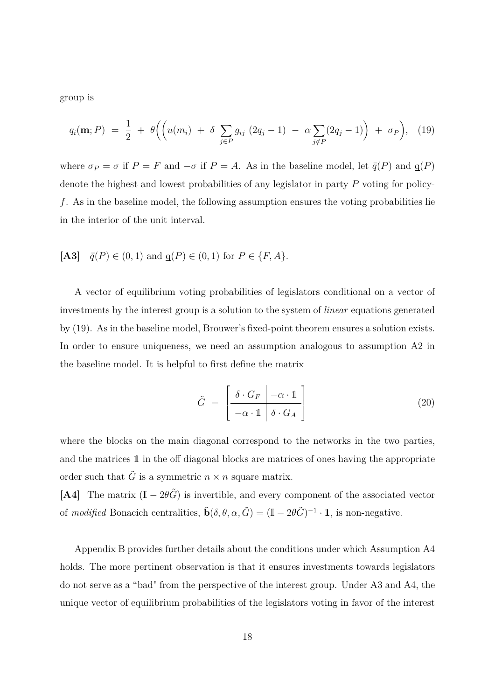group is

$$
q_i(\mathbf{m}; P) = \frac{1}{2} + \theta \Big( \Big( u(m_i) + \delta \sum_{j \in P} g_{ij} (2q_j - 1) - \alpha \sum_{j \notin P} (2q_j - 1) \Big) + \sigma_P \Big), \quad (19)
$$

where  $\sigma_P = \sigma$  if  $P = F$  and  $-\sigma$  if  $P = A$ . As in the baseline model, let  $\bar{q}(P)$  and  $q(P)$ denote the highest and lowest probabilities of any legislator in party *P* voting for policy*f*. As in the baseline model, the following assumption ensures the voting probabilities lie in the interior of the unit interval.

[A3] 
$$
\bar{q}(P) \in (0,1)
$$
 and  $q(P) \in (0,1)$  for  $P \in \{F, A\}.$ 

A vector of equilibrium voting probabilities of legislators conditional on a vector of investments by the interest group is a solution to the system of *linear* equations generated by (19). As in the baseline model, Brouwer's fixed-point theorem ensures a solution exists. In order to ensure uniqueness, we need an assumption analogous to assumption A2 in the baseline model. It is helpful to first define the matrix

$$
\tilde{G} = \left[ \frac{\delta \cdot G_F \mid -\alpha \cdot 1}{-\alpha \cdot 1 \mid \delta \cdot G_A} \right] \tag{20}
$$

where the blocks on the main diagonal correspond to the networks in the two parties, and the matrices 1 in the off diagonal blocks are matrices of ones having the appropriate order such that  $\tilde{G}$  is a symmetric  $n \times n$  square matrix.

**[A4]** The matrix  $(I - 2\theta \tilde{G})$  is invertible, and every component of the associated vector of *modified* Bonacich centralities,  $\tilde{\mathbf{b}}(\delta, \theta, \alpha, \tilde{G}) = (\mathbb{I} - 2\theta \tilde{G})^{-1} \cdot \mathbf{1}$ , is non-negative.

Appendix B provides further details about the conditions under which Assumption A4 holds. The more pertinent observation is that it ensures investments towards legislators do not serve as a "bad" from the perspective of the interest group. Under A3 and A4, the unique vector of equilibrium probabilities of the legislators voting in favor of the interest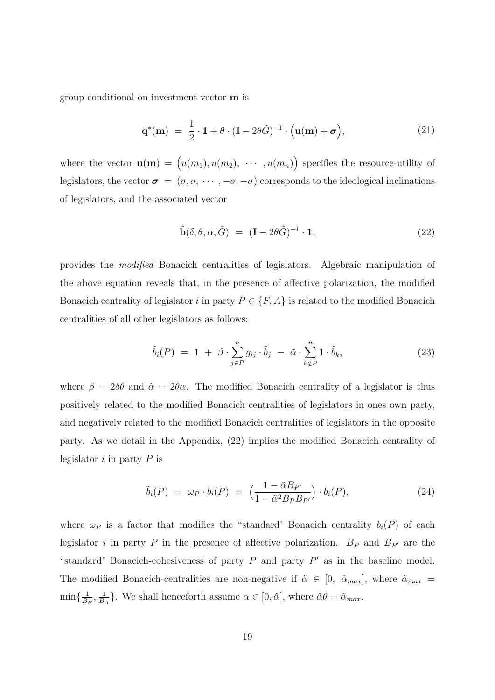group conditional on investment vector **m** is

$$
\mathbf{q}^*(\mathbf{m}) = \frac{1}{2} \cdot \mathbf{1} + \theta \cdot (\mathbb{I} - 2\theta \tilde{G})^{-1} \cdot (\mathbf{u}(\mathbf{m}) + \boldsymbol{\sigma}), \tag{21}
$$

where the vector  $\mathbf{u}(\mathbf{m}) = (u(m_1), u(m_2), \cdots, u(m_n))$  specifies the resource-utility of legislators, the vector  $\sigma = (\sigma, \sigma, \cdots, -\sigma, -\sigma)$  corresponds to the ideological inclinations of legislators, and the associated vector

$$
\tilde{\mathbf{b}}(\delta, \theta, \alpha, \tilde{G}) = (\mathbb{I} - 2\theta \tilde{G})^{-1} \cdot \mathbf{1},\tag{22}
$$

provides the *modified* Bonacich centralities of legislators. Algebraic manipulation of the above equation reveals that, in the presence of affective polarization, the modified Bonacich centrality of legislator *i* in party  $P \in \{F, A\}$  is related to the modified Bonacich centralities of all other legislators as follows:

$$
\tilde{b}_i(P) = 1 + \beta \cdot \sum_{j \in P}^n g_{ij} \cdot \tilde{b}_j - \tilde{\alpha} \cdot \sum_{k \notin P}^n 1 \cdot \tilde{b}_k, \tag{23}
$$

where  $\beta = 2\delta\theta$  and  $\tilde{\alpha} = 2\theta\alpha$ . The modified Bonacich centrality of a legislator is thus positively related to the modified Bonacich centralities of legislators in ones own party, and negatively related to the modified Bonacich centralities of legislators in the opposite party. As we detail in the Appendix, (22) implies the modified Bonacich centrality of legislator *i* in party *P* is

$$
\tilde{b}_i(P) = \omega_P \cdot b_i(P) = \left(\frac{1 - \tilde{\alpha}B_{P'}}{1 - \tilde{\alpha}^2 B_P B_{P'}}\right) \cdot b_i(P), \tag{24}
$$

where  $\omega_P$  is a factor that modifies the "standard" Bonacich centrality  $b_i(P)$  of each legislator *i* in party *P* in the presence of affective polarization.  $B_P$  and  $B_{P'}$  are the "standard" Bonacich-cohesiveness of party  $P$  and party  $P'$  as in the baseline model. The modified Bonacich-centralities are non-negative if  $\tilde{\alpha} \in [0, \ \tilde{\alpha}_{max}]$ , where  $\tilde{\alpha}_{max} =$  $\min\{\frac{1}{B}\}$  $\frac{1}{B_F}, \frac{1}{B}$  $\frac{1}{B_A}$ . We shall henceforth assume  $\alpha \in [0, \hat{\alpha}]$ , where  $\hat{\alpha}\theta = \tilde{\alpha}_{max}$ .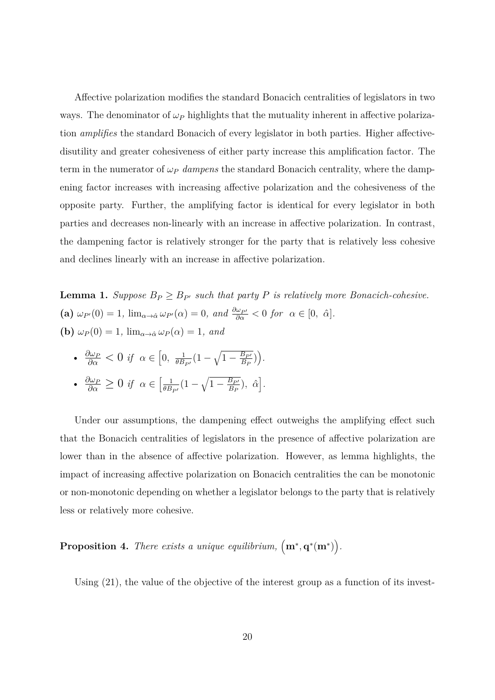Affective polarization modifies the standard Bonacich centralities of legislators in two ways. The denominator of  $\omega_P$  highlights that the mutuality inherent in affective polarization *amplifies* the standard Bonacich of every legislator in both parties. Higher affectivedisutility and greater cohesiveness of either party increase this amplification factor. The term in the numerator of *ω<sup>P</sup> dampens* the standard Bonacich centrality, where the dampening factor increases with increasing affective polarization and the cohesiveness of the opposite party. Further, the amplifying factor is identical for every legislator in both parties and decreases non-linearly with an increase in affective polarization. In contrast, the dampening factor is relatively stronger for the party that is relatively less cohesive and declines linearly with an increase in affective polarization.

**Lemma 1.** *Suppose*  $B_P \geq B_{P'}$  *such that party P is relatively more Bonacich-cohesive.* **(a)**  $\omega_{P}(0) = 1$ ,  $\lim_{\alpha \to \hat{\alpha}} \omega_{P}(\alpha) = 0$ , and  $\frac{\partial \omega_{P'}}{\partial \alpha} < 0$  for  $\alpha \in [0, \hat{\alpha}]$ . **(b)**  $\omega_P(0) = 1$ ,  $\lim_{\alpha \to \hat{\alpha}} \omega_P(\alpha) = 1$ , and

• 
$$
\frac{\partial \omega_P}{\partial \alpha} < 0
$$
 if  $\alpha \in [0, \frac{1}{\theta B_{P'}}(1 - \sqrt{1 - \frac{B_{P'}}{B_P}})).$   
•  $\frac{\partial \omega_P}{\partial \alpha} \ge 0$  if  $\alpha \in \left[\frac{1}{\theta B_{P'}}(1 - \sqrt{1 - \frac{B_{P'}}{B_P}}), \hat{\alpha}\right].$ 

Under our assumptions, the dampening effect outweighs the amplifying effect such that the Bonacich centralities of legislators in the presence of affective polarization are lower than in the absence of affective polarization. However, as lemma highlights, the impact of increasing affective polarization on Bonacich centralities the can be monotonic or non-monotonic depending on whether a legislator belongs to the party that is relatively less or relatively more cohesive.

**Proposition 4.** *There exists a unique equilibrium,*  $(m^*, q^*(m^*))$ .

Using  $(21)$ , the value of the objective of the interest group as a function of its invest-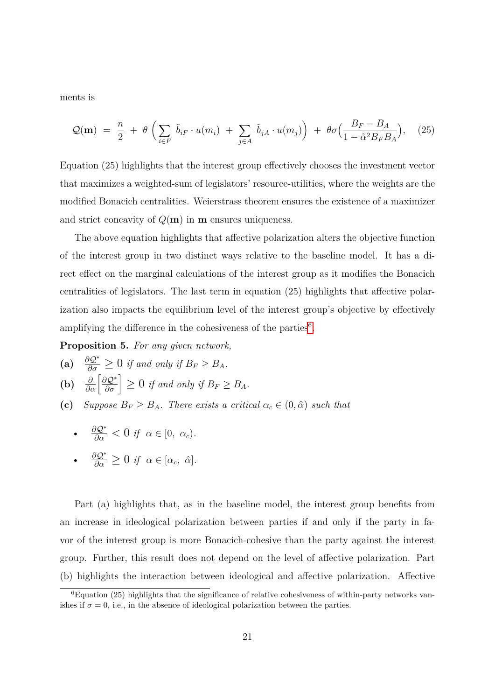ments is

$$
\mathcal{Q}(\mathbf{m}) = \frac{n}{2} + \theta \left( \sum_{i \in F} \tilde{b}_{iF} \cdot u(m_i) + \sum_{j \in A} \tilde{b}_{jA} \cdot u(m_j) \right) + \theta \sigma \left( \frac{B_F - B_A}{1 - \tilde{\alpha}^2 B_F B_A} \right), \quad (25)
$$

Equation (25) highlights that the interest group effectively chooses the investment vector that maximizes a weighted-sum of legislators' resource-utilities, where the weights are the modified Bonacich centralities. Weierstrass theorem ensures the existence of a maximizer and strict concavity of  $Q(\mathbf{m})$  in **m** ensures uniqueness.

The above equation highlights that affective polarization alters the objective function of the interest group in two distinct ways relative to the baseline model. It has a direct effect on the marginal calculations of the interest group as it modifies the Bonacich centralities of legislators. The last term in equation (25) highlights that affective polarization also impacts the equilibrium level of the interest group's objective by effectively amplifying the difference in the cohesiveness of the parties $6$ .

**Proposition 5.** *For any given network,*

- (a)  $\frac{\partial \mathcal{Q}^*}{\partial \sigma} \geq 0$  *if and only if*  $B_F \geq B_A$ *.*
- **(b)**  $\frac{\partial}{\partial \alpha} \left[ \frac{\partial \mathcal{Q}^*}{\partial \sigma} \right] \geq 0$  *if and only if*  $B_F \geq B_A$ *.*
- **(c)** *Suppose*  $B_F \geq B_A$ *. There exists a critical*  $\alpha_c \in (0, \hat{\alpha})$  *such that* 
	- $\frac{\partial Q^*}{\partial \alpha} < 0$  *if*  $\alpha \in [0, \alpha_c)$ *. ∂*Q<sup>∗</sup>

• 
$$
\frac{\partial \mathcal{Q}^*}{\partial \alpha} \geq 0
$$
 if  $\alpha \in [\alpha_c, \hat{\alpha}].$ 

Part (a) highlights that, as in the baseline model, the interest group benefits from an increase in ideological polarization between parties if and only if the party in favor of the interest group is more Bonacich-cohesive than the party against the interest group. Further, this result does not depend on the level of affective polarization. Part (b) highlights the interaction between ideological and affective polarization. Affective

<span id="page-20-0"></span> ${}^{6}$ Equation (25) highlights that the significance of relative cohesiveness of within-party networks vanishes if  $\sigma = 0$ , i.e., in the absence of ideological polarization between the parties.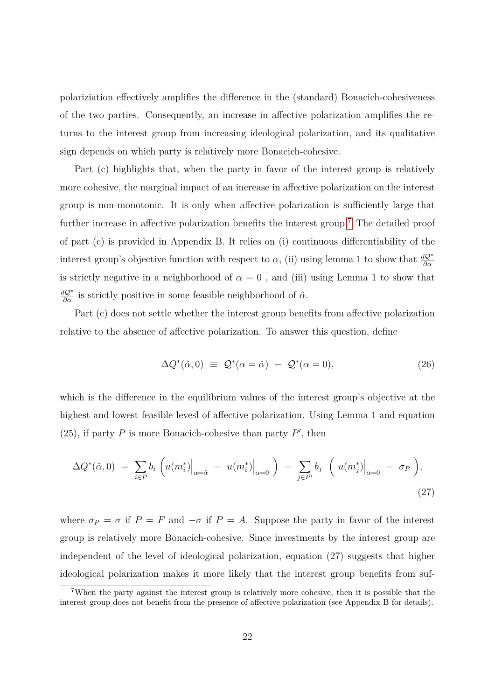polariziation effectively amplifies the difference in the (standard) Bonacich-cohesiveness of the two parties. Consequently, an increase in affective polarization amplifies the returns to the interest group from increasing ideological polarization, and its qualitative sign depends on which party is relatively more Bonacich-cohesive.

Part (c) highlights that, when the party in favor of the interest group is relatively more cohesive, the marginal impact of an increase in affective polarization on the interest group is non-monotonic. It is only when affective polarization is sufficiently large that further increase in affective polarization benefits the interest group.<sup>[7](#page-21-0)</sup> The detailed proof of part (c) is provided in Appendix B. It relies on (i) continuous differentiability of the interest group's objective function with respect to  $\alpha$ , (ii) using lemma 1 to show that  $\frac{dQ^*}{\partial \alpha}$ is strictly negative in a neighborhood of  $\alpha = 0$ , and (iii) using Lemma 1 to show that  $\frac{dQ^*}{\partial \alpha}$  is strictly positive in some feasible neighborhood of  $\hat{\alpha}$ .

Part (c) does not settle whether the interest group benefits from affective polarization relative to the absence of affective polarization. To answer this question, define

$$
\Delta Q^*(\hat{\alpha}, 0) \equiv \mathcal{Q}^*(\alpha = \hat{\alpha}) - \mathcal{Q}^*(\alpha = 0), \tag{26}
$$

which is the difference in the equilibrium values of the interest group's objective at the highest and lowest feasible levesl of affective polarization. Using Lemma 1 and equation (25), if party  $P$  is more Bonacich-cohesive than party  $P'$ , then

$$
\Delta Q^*(\hat{\alpha},0) = \sum_{i \in P} b_i \left( u(m_i^*) \Big|_{\alpha = \hat{\alpha}} - u(m_i^*) \Big|_{\alpha = 0} \right) - \sum_{j \in P'} b_j \left( u(m_j^*) \Big|_{\alpha = 0} - \sigma_P \right),\tag{27}
$$

where  $\sigma_P = \sigma$  if  $P = F$  and  $-\sigma$  if  $P = A$ . Suppose the party in favor of the interest group is relatively more Bonacich-cohesive. Since investments by the interest group are independent of the level of ideological polarization, equation (27) suggests that higher ideological polarization makes it more likely that the interest group benefits from suf-

<span id="page-21-0"></span><sup>7</sup>When the party against the interest group is relatively more cohesive, then it is possible that the interest group does not benefit from the presence of affective polarization (see Appendix B for details).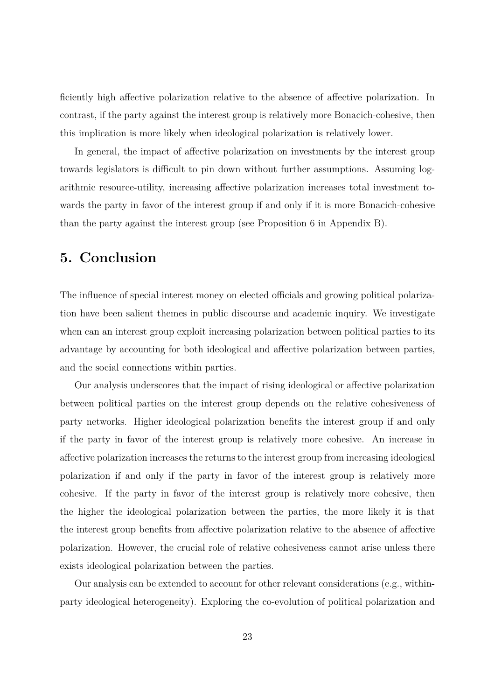ficiently high affective polarization relative to the absence of affective polarization. In contrast, if the party against the interest group is relatively more Bonacich-cohesive, then this implication is more likely when ideological polarization is relatively lower.

In general, the impact of affective polarization on investments by the interest group towards legislators is difficult to pin down without further assumptions. Assuming logarithmic resource-utility, increasing affective polarization increases total investment towards the party in favor of the interest group if and only if it is more Bonacich-cohesive than the party against the interest group (see Proposition 6 in Appendix B).

# **5. Conclusion**

The influence of special interest money on elected officials and growing political polarization have been salient themes in public discourse and academic inquiry. We investigate when can an interest group exploit increasing polarization between political parties to its advantage by accounting for both ideological and affective polarization between parties, and the social connections within parties.

Our analysis underscores that the impact of rising ideological or affective polarization between political parties on the interest group depends on the relative cohesiveness of party networks. Higher ideological polarization benefits the interest group if and only if the party in favor of the interest group is relatively more cohesive. An increase in affective polarization increases the returns to the interest group from increasing ideological polarization if and only if the party in favor of the interest group is relatively more cohesive. If the party in favor of the interest group is relatively more cohesive, then the higher the ideological polarization between the parties, the more likely it is that the interest group benefits from affective polarization relative to the absence of affective polarization. However, the crucial role of relative cohesiveness cannot arise unless there exists ideological polarization between the parties.

Our analysis can be extended to account for other relevant considerations (e.g., withinparty ideological heterogeneity). Exploring the co-evolution of political polarization and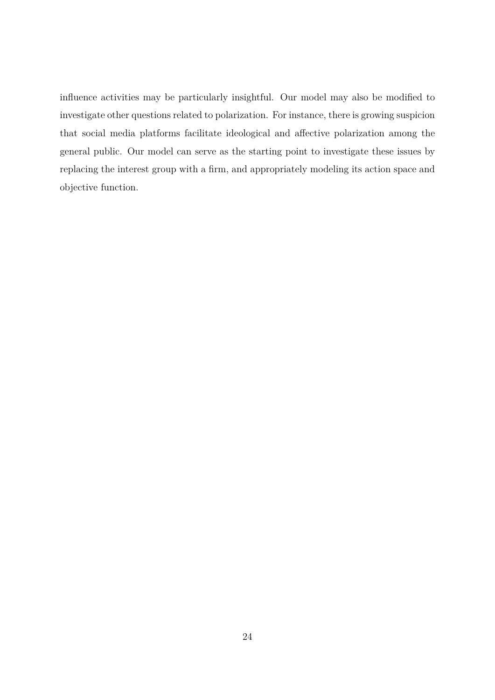influence activities may be particularly insightful. Our model may also be modified to investigate other questions related to polarization. For instance, there is growing suspicion that social media platforms facilitate ideological and affective polarization among the general public. Our model can serve as the starting point to investigate these issues by replacing the interest group with a firm, and appropriately modeling its action space and objective function.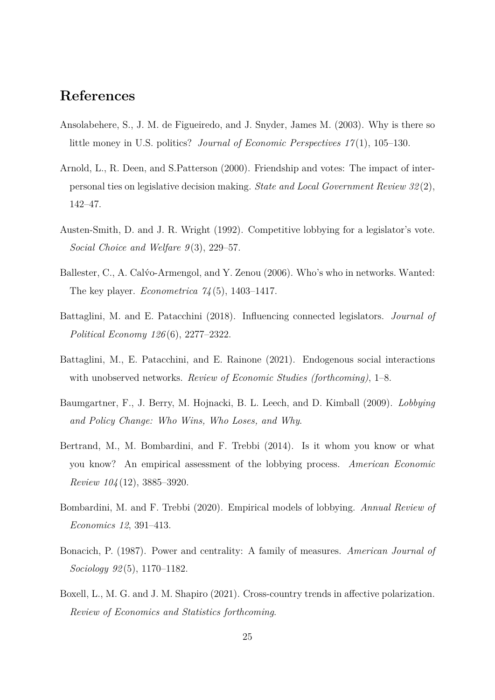## **References**

- Ansolabehere, S., J. M. de Figueiredo, and J. Snyder, James M. (2003). Why is there so little money in U.S. politics? *Journal of Economic Perspectives 17* (1), 105–130.
- Arnold, L., R. Deen, and S.Patterson (2000). Friendship and votes: The impact of interpersonal ties on legislative decision making. *State and Local Government Review 32* (2), 142–47.
- Austen-Smith, D. and J. R. Wright (1992). Competitive lobbying for a legislator's vote. *Social Choice and Welfare 9* (3), 229–57.
- Ballester, C., A. Calýo-Armengol, and Y. Zenou (2006). Who's who in networks. Wanted: The key player. *Econometrica 74* (5), 1403–1417.
- Battaglini, M. and E. Patacchini (2018). Influencing connected legislators. *Journal of Political Economy 126* (6), 2277–2322.
- Battaglini, M., E. Patacchini, and E. Rainone (2021). Endogenous social interactions with unobserved networks. *Review of Economic Studies (forthcoming)*, 1–8.
- Baumgartner, F., J. Berry, M. Hojnacki, B. L. Leech, and D. Kimball (2009). *Lobbying and Policy Change: Who Wins, Who Loses, and Why*.
- Bertrand, M., M. Bombardini, and F. Trebbi (2014). Is it whom you know or what you know? An empirical assessment of the lobbying process. *American Economic Review 104* (12), 3885–3920.
- Bombardini, M. and F. Trebbi (2020). Empirical models of lobbying. *Annual Review of Economics 12*, 391–413.
- Bonacich, P. (1987). Power and centrality: A family of measures. *American Journal of Sociology 92* (5), 1170–1182.
- Boxell, L., M. G. and J. M. Shapiro (2021). Cross-country trends in affective polarization. *Review of Economics and Statistics forthcoming*.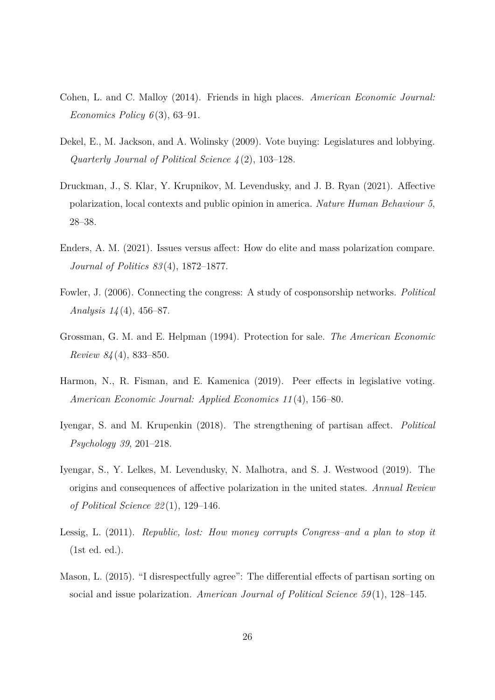- Cohen, L. and C. Malloy (2014). Friends in high places. *American Economic Journal: Economics Policy 6* (3), 63–91.
- Dekel, E., M. Jackson, and A. Wolinsky (2009). Vote buying: Legislatures and lobbying. *Quarterly Journal of Political Science 4* (2), 103–128.
- Druckman, J., S. Klar, Y. Krupnikov, M. Levendusky, and J. B. Ryan (2021). Affective polarization, local contexts and public opinion in america. *Nature Human Behaviour 5*, 28–38.
- Enders, A. M. (2021). Issues versus affect: How do elite and mass polarization compare. *Journal of Politics 83* (4), 1872–1877.
- Fowler, J. (2006). Connecting the congress: A study of cosponsorship networks. *Political Analysis 14* (4), 456–87.
- Grossman, G. M. and E. Helpman (1994). Protection for sale. *The American Economic Review 84* (4), 833–850.
- Harmon, N., R. Fisman, and E. Kamenica (2019). Peer effects in legislative voting. *American Economic Journal: Applied Economics 11* (4), 156–80.
- Iyengar, S. and M. Krupenkin (2018). The strengthening of partisan affect. *Political Psychology 39*, 201–218.
- Iyengar, S., Y. Lelkes, M. Levendusky, N. Malhotra, and S. J. Westwood (2019). The origins and consequences of affective polarization in the united states. *Annual Review of Political Science 22* (1), 129–146.
- Lessig, L. (2011). *Republic, lost: How money corrupts Congress–and a plan to stop it* (1st ed. ed.).
- Mason, L. (2015). "I disrespectfully agree": The differential effects of partisan sorting on social and issue polarization. *American Journal of Political Science 59* (1), 128–145.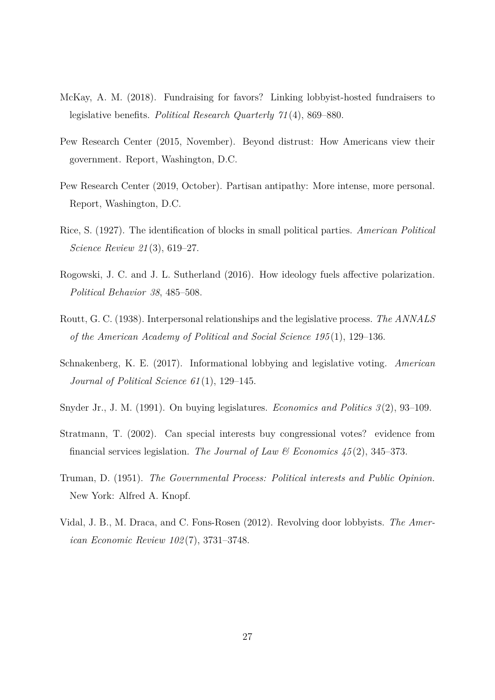- McKay, A. M. (2018). Fundraising for favors? Linking lobbyist-hosted fundraisers to legislative benefits. *Political Research Quarterly 71* (4), 869–880.
- Pew Research Center (2015, November). Beyond distrust: How Americans view their government. Report, Washington, D.C.
- Pew Research Center (2019, October). Partisan antipathy: More intense, more personal. Report, Washington, D.C.
- Rice, S. (1927). The identification of blocks in small political parties. *American Political Science Review 21* (3), 619–27.
- Rogowski, J. C. and J. L. Sutherland (2016). How ideology fuels affective polarization. *Political Behavior 38*, 485–508.
- Routt, G. C. (1938). Interpersonal relationships and the legislative process. *The ANNALS of the American Academy of Political and Social Science 195* (1), 129–136.
- Schnakenberg, K. E. (2017). Informational lobbying and legislative voting. *American Journal of Political Science 61* (1), 129–145.
- Snyder Jr., J. M. (1991). On buying legislatures. *Economics and Politics 3* (2), 93–109.
- Stratmann, T. (2002). Can special interests buy congressional votes? evidence from financial services legislation. *The Journal of Law & Economics 45* (2), 345–373.
- Truman, D. (1951). *The Governmental Process: Political interests and Public Opinion.* New York: Alfred A. Knopf.
- Vidal, J. B., M. Draca, and C. Fons-Rosen (2012). Revolving door lobbyists. *The American Economic Review 102* (7), 3731–3748.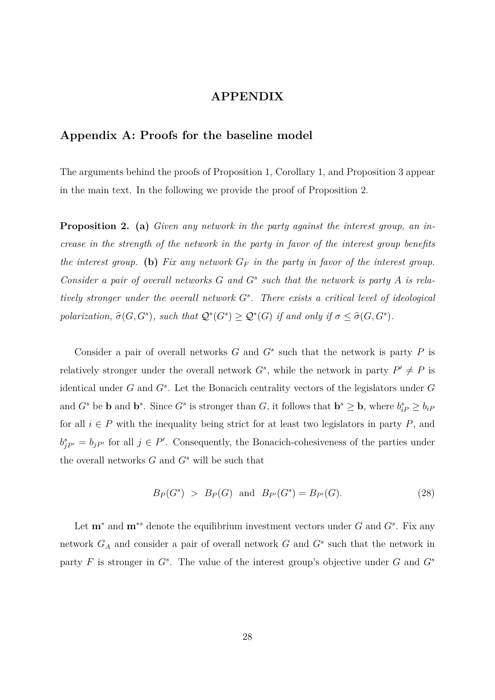### **APPENDIX**

### **Appendix A: Proofs for the baseline model**

The arguments behind the proofs of Proposition 1, Corollary 1, and Proposition 3 appear in the main text. In the following we provide the proof of Proposition 2.

**Proposition 2. (a)** *Given any network in the party against the interest group, an increase in the strength of the network in the party in favor of the interest group benefits the interest group.* (b) Fix any network  $G_F$  in the party in favor of the interest group. *Consider a pair of overall networks G and G<sup>s</sup> such that the network is party A is relatively stronger under the overall network G<sup>s</sup> . There exists a critical level of ideological polarization,*  $\hat{\sigma}(G, G^s)$ *, such that*  $Q^*(G^s) \ge Q^*(G)$  *if and only if*  $\sigma \le \hat{\sigma}(G, G^s)$ *.* 

Consider a pair of overall networks  $G$  and  $G^s$  such that the network is party  $P$  is relatively stronger under the overall network  $G^s$ , while the network in party  $P' \neq P$  is identical under *G* and *G<sup>s</sup>* . Let the Bonacich centrality vectors of the legislators under *G* and  $G^s$  be **b** and  $\mathbf{b}^s$ . Since  $G^s$  is stronger than  $G$ , it follows that  $\mathbf{b}^s \geq \mathbf{b}$ , where  $b_{iP}^s \geq b_{iP}$ for all  $i \in P$  with the inequality being strict for at least two legislators in party  $P$ , and  $b_{jP'}^s = b_{jP'}$  for all  $j \in P'$ . Consequently, the Bonacich-cohesiveness of the parties under the overall networks *G* and *G<sup>s</sup>* will be such that

$$
B_P(G^s) > B_P(G)
$$
 and  $B_{P'}(G^s) = B_{P'}(G)$ . (28)

Let **m**<sup>∗</sup> and **m**<sup>∗</sup>*<sup>s</sup>* denote the equilibrium investment vectors under *G* and *G<sup>s</sup>* . Fix any network *G<sup>A</sup>* and consider a pair of overall network *G* and *G<sup>s</sup>* such that the network in party  $F$  is stronger in  $G^s$ . The value of the interest group's objective under  $G$  and  $G^s$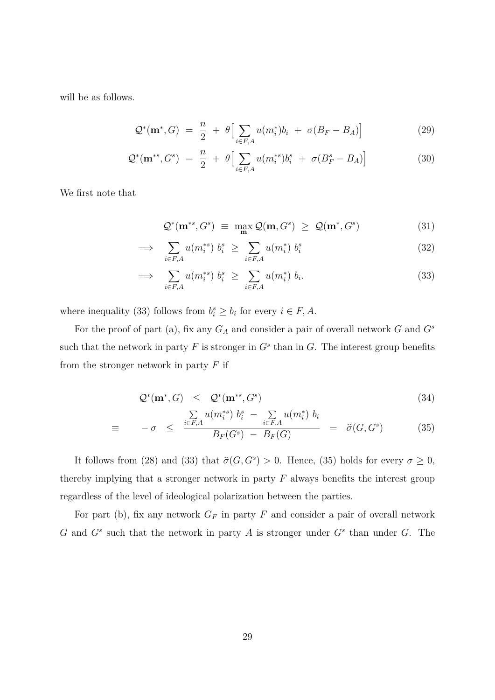will be as follows.

$$
\mathcal{Q}^*(\mathbf{m}^*, G) = \frac{n}{2} + \theta \Big[ \sum_{i \in F, A} u(m_i^*) b_i + \sigma (B_F - B_A) \Big] \tag{29}
$$

$$
\mathcal{Q}^*(\mathbf{m}^{*s}, G^s) = \frac{n}{2} + \theta \Big[ \sum_{i \in F, A} u(m_i^{*s}) b_i^s + \sigma(B_F^s - B_A) \Big] \tag{30}
$$

We first note that

$$
\mathcal{Q}^*(\mathbf{m}^{*s}, G^s) \equiv \max_{\mathbf{m}} \mathcal{Q}(\mathbf{m}, G^s) \geq \mathcal{Q}(\mathbf{m}^*, G^s) \tag{31}
$$

$$
\implies \sum_{i \in F, A} u(m_i^{**}) b_i^s \ge \sum_{i \in F, A} u(m_i^*) b_i^s \tag{32}
$$

$$
\implies \sum_{i \in F, A} u(m_i^{*s}) b_i^s \ge \sum_{i \in F, A} u(m_i^*) b_i. \tag{33}
$$

where inequality (33) follows from  $b_i^s \geq b_i$  for every  $i \in F, A$ .

For the proof of part (a), fix any *G<sup>A</sup>* and consider a pair of overall network *G* and *G<sup>s</sup>* such that the network in party  $F$  is stronger in  $G^s$  than in  $G$ . The interest group benefits from the stronger network in party *F* if

$$
\mathcal{Q}^*(\mathbf{m}^*, G) \leq \mathcal{Q}^*(\mathbf{m}^{*s}, G^s) \tag{34}
$$

$$
\equiv -\sigma \leq \frac{\sum\limits_{i \in F,A} u(m_i^{**}) b_i^s - \sum\limits_{i \in F,A} u(m_i^*) b_i}{B_F(G^s) - B_F(G)} = \hat{\sigma}(G, G^s) \tag{35}
$$

It follows from (28) and (33) that  $\hat{\sigma}(G, G^s) > 0$ . Hence, (35) holds for every  $\sigma \ge 0$ , thereby implying that a stronger network in party *F* always benefits the interest group regardless of the level of ideological polarization between the parties.

For part (b), fix any network  $G_F$  in party  $F$  and consider a pair of overall network *G* and *G<sup>s</sup>* such that the network in party *A* is stronger under *G<sup>s</sup>* than under *G*. The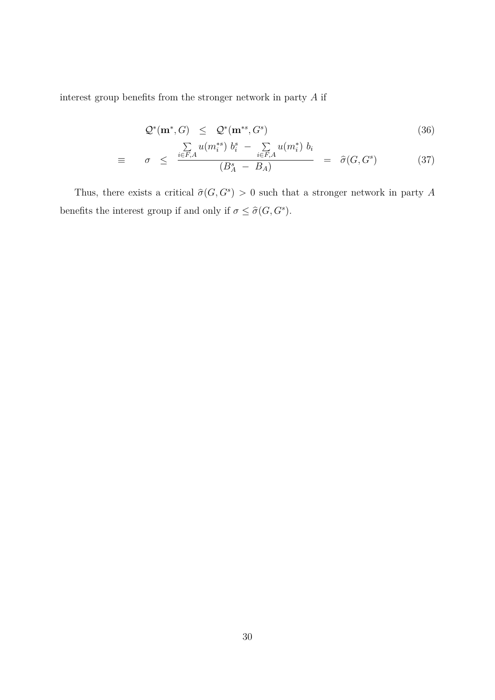interest group benefits from the stronger network in party *A* if

$$
\mathcal{Q}^*(\mathbf{m}^*, G) \leq \mathcal{Q}^*(\mathbf{m}^{*s}, G^s) \tag{36}
$$

$$
\equiv \sigma \leq \frac{\sum\limits_{i \in F,A} u(m_i^{*s}) b_i^s - \sum\limits_{i \in F,A} u(m_i^*) b_i}{(B_A^s - B_A)} = \hat{\sigma}(G, G^s) \tag{37}
$$

Thus, there exists a critical  $\hat{\sigma}(G, G^s) > 0$  such that a stronger network in party *A* benefits the interest group if and only if  $\sigma \leq \hat{\sigma}(G, G^s)$ .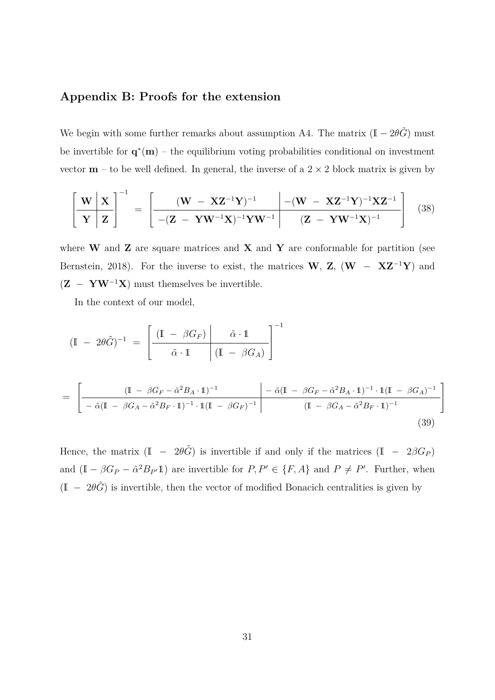### **Appendix B: Proofs for the extension**

We begin with some further remarks about assumption A4. The matrix  $(I - 2\theta \tilde{G})$  must be invertible for  $\mathbf{q}^*(\mathbf{m})$  – the equilibrium voting probabilities conditional on investment vector  $m - t_0$  be well defined. In general, the inverse of a  $2 \times 2$  block matrix is given by

$$
\left[\frac{\mathbf{W} \mid \mathbf{X}}{\mathbf{Y} \mid \mathbf{Z}}\right]^{-1} = \left[\frac{(\mathbf{W} - \mathbf{XZ}^{-1}\mathbf{Y})^{-1} - (\mathbf{W} - \mathbf{XZ}^{-1}\mathbf{Y})^{-1}\mathbf{XZ}^{-1}}{-(\mathbf{Z} - \mathbf{Y}\mathbf{W}^{-1}\mathbf{X})^{-1}\mathbf{Y}\mathbf{W}^{-1}}\right] (38)
$$

where **W** and **Z** are square matrices and **X** and **Y** are conformable for partition (see Bernstein, 2018). For the inverse to exist, the matrices **W**, **Z**, (**W** − **XZ**<sup>−</sup><sup>1</sup>**Y**) and  $(\mathbf{Z} - \mathbf{YW}^{-1}\mathbf{X})$  must themselves be invertible.

In the context of our model,

$$
(\mathbb{I} - 2\theta \tilde{G})^{-1} = \left[ \frac{(\mathbb{I} - \beta G_F)}{\tilde{\alpha} \cdot \mathbb{1}} \left( \mathbb{I} - \beta G_A \right) \right]^{-1}
$$
  

$$
= \left[ \frac{(\mathbb{I} - \beta G_F - \tilde{\alpha}^2 B_A \cdot \mathbb{1})^{-1}}{-\tilde{\alpha} (\mathbb{I} - \beta G_A - \tilde{\alpha}^2 B_F \cdot \mathbb{1})^{-1} \cdot \mathbb{1} (\mathbb{I} - \beta G_F)^{-1}} \right]^{-1} \frac{-\tilde{\alpha} (\mathbb{I} - \beta G_F - \tilde{\alpha}^2 B_A \cdot \mathbb{1})^{-1} \cdot \mathbb{1} (\mathbb{I} - \beta G_A)^{-1}}{(\mathbb{I} - \beta G_A - \tilde{\alpha}^2 B_F \cdot \mathbb{1})^{-1}} \right]
$$
(39)

Hence, the matrix  $(I - 2\theta \tilde{G})$  is invertible if and only if the matrices  $(I - 2\beta G_P)$ and  $(I - \beta G_P - \tilde{\alpha}^2 B_{P'}1)$  are invertible for  $P, P' \in \{F, A\}$  and  $P \neq P'$ . Further, when  $(I - 2\theta\tilde{G})$  is invertible, then the vector of modified Bonacich centralities is given by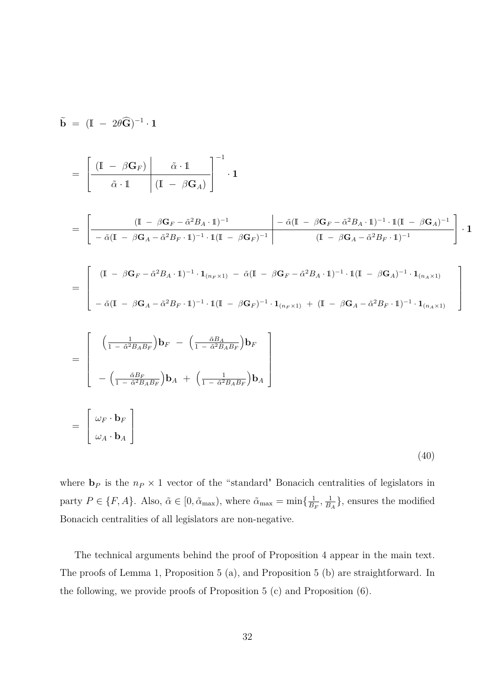$$
\tilde{\mathbf{b}} = (\mathbf{I} - 2\theta \tilde{\mathbf{G}})^{-1} \cdot \mathbf{1}
$$
\n
$$
= \left[ \frac{(\mathbf{I} - \beta \mathbf{G}_F)}{\tilde{\alpha} \cdot \mathbf{1}} \left| \frac{\tilde{\alpha} \cdot \mathbf{1}}{(\mathbf{I} - \beta \mathbf{G}_A)} \right|^{-1} \cdot \mathbf{1} \right]
$$
\n
$$
= \left[ \frac{(\mathbf{I} - \beta \mathbf{G}_F) \left| \frac{\tilde{\alpha} \cdot \mathbf{1}}{(\mathbf{I} - \beta \mathbf{G}_A - \tilde{\alpha}^2 B_A \cdot \mathbf{1})^{-1}} \right|^{-1} \cdot \mathbf{1} \left| -\tilde{\alpha} (\mathbf{I} - \beta \mathbf{G}_F - \tilde{\alpha}^2 B_A \cdot \mathbf{1})^{-1} \cdot \mathbf{1} (\mathbf{I} - \beta \mathbf{G}_A)^{-1} \right|^{-1} \cdot \mathbf{1} (\mathbf{I} - \beta \mathbf{G}_A - \tilde{\alpha}^2 B_F \cdot \mathbf{1})^{-1} \cdot \mathbf{1} (\mathbf{I} - \beta \mathbf{G}_F - \tilde{\alpha}^2 B_A \cdot \mathbf{1})^{-1} \cdot \mathbf{1} (\mathbf{I} - \beta \mathbf{G}_A - \tilde{\alpha}^2 B_F \cdot \mathbf{1})^{-1} \cdot \mathbf{1} (\mathbf{I} - \beta \mathbf{G}_F - \tilde{\alpha}^2 B_A \cdot \mathbf{1})^{-1} \cdot \mathbf{1} (\mathbf{I} - \beta \mathbf{G}_A - \tilde{\alpha}^2 B_F \cdot \mathbf{1})^{-1} \cdot \mathbf{1} (\mathbf{I} - \beta \mathbf{G}_A - \tilde{\alpha}^2 B_F \cdot \mathbf{1})^{-1} \cdot \mathbf{1} (\mathbf{I} - \beta \mathbf{G}_F - \tilde{\alpha}^2 B_A \cdot \mathbf{1})^{-1} \cdot \mathbf{1} (\mathbf{I} - \beta \mathbf{G}_A - \tilde{\alpha}^2 B_F \cdot \mathbf{1})^{-1} \cdot \mathbf{1} (\mathbf{I} - \beta \mathbf{G}_A - \tilde{\alpha}^2 B_F \cdot \mathbf{1})^{-1} \cdot \mathbf{1} (\mathbf{I} - \
$$

where  $\mathbf{b}_P$  is the  $n_P \times 1$  vector of the "standard" Bonacich centralities of legislators in party  $P \in \{F, A\}$ . Also,  $\tilde{\alpha} \in [0, \tilde{\alpha}_{\text{max}})$ , where  $\tilde{\alpha}_{\text{max}} = \min\{\frac{1}{B}\}$  $\frac{1}{B_F}, \frac{1}{B}$  $\frac{1}{B_A}$ , ensures the modified Bonacich centralities of all legislators are non-negative.

The technical arguments behind the proof of Proposition 4 appear in the main text. The proofs of Lemma 1, Proposition 5 (a), and Proposition 5 (b) are straightforward. In the following, we provide proofs of Proposition  $5(c)$  and Proposition  $(6)$ .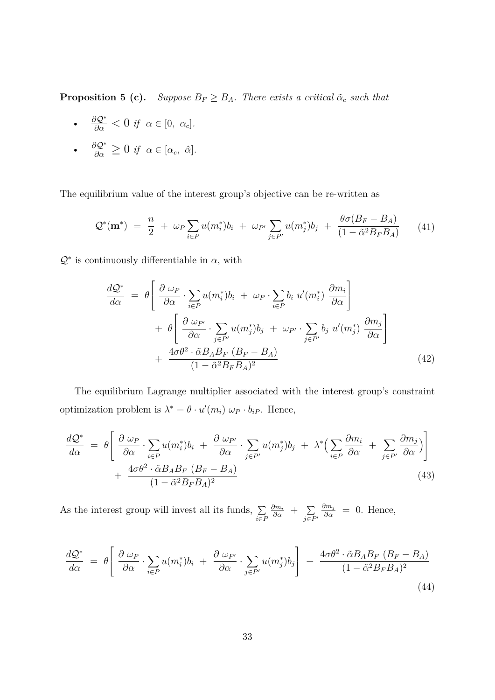**Proposition 5 (c).** *Suppose*  $B_F \geq B_A$ *. There exists a critical*  $\tilde{\alpha}_c$  *such that* 

•  $\frac{\partial Q^*}{\partial \alpha} < 0$  *if*  $\alpha \in [0, \alpha_c]$ *.* 

• 
$$
\frac{\partial \mathcal{Q}^*}{\partial \alpha} \geq 0
$$
 if  $\alpha \in [\alpha_c, \hat{\alpha}].$ 

The equilibrium value of the interest group's objective can be re-written as

$$
\mathcal{Q}^*(\mathbf{m}^*) = \frac{n}{2} + \omega_P \sum_{i \in P} u(m_i^*) b_i + \omega_{P'} \sum_{j \in P'} u(m_j^*) b_j + \frac{\theta \sigma(B_F - B_A)}{(1 - \tilde{\alpha}^2 B_F B_A)} \tag{41}
$$

 $Q^*$  is continuously differentiable in  $\alpha$ , with

$$
\frac{dQ^*}{d\alpha} = \theta \left[ \frac{\partial \omega_P}{\partial \alpha} \cdot \sum_{i \in P} u(m_i^*) b_i + \omega_P \cdot \sum_{i \in P} b_i u'(m_i^*) \frac{\partial m_i}{\partial \alpha} \right] + \theta \left[ \frac{\partial \omega_{P'}}{\partial \alpha} \cdot \sum_{j \in P'} u(m_j^*) b_j + \omega_{P'} \cdot \sum_{j \in P'} b_j u'(m_j^*) \frac{\partial m_j}{\partial \alpha} \right] + \frac{4\sigma\theta^2 \cdot \tilde{\alpha} B_A B_F (B_F - B_A)}{(1 - \tilde{\alpha}^2 B_F B_A)^2}
$$
(42)

The equilibrium Lagrange multiplier associated with the interest group's constraint optimization problem is  $\lambda^* = \theta \cdot u'(m_i) \omega_P \cdot b_{iP}$ . Hence,

$$
\frac{d\mathcal{Q}^*}{d\alpha} = \theta \left[ \frac{\partial \omega_P}{\partial \alpha} \cdot \sum_{i \in P} u(m_i^*) b_i + \frac{\partial \omega_{P'}}{\partial \alpha} \cdot \sum_{j \in P'} u(m_j^*) b_j + \lambda^* \Big( \sum_{i \in P} \frac{\partial m_i}{\partial \alpha} + \sum_{j \in P'} \frac{\partial m_j}{\partial \alpha} \Big) \right] + \frac{4\sigma\theta^2 \cdot \tilde{\alpha} B_A B_F (B_F - B_A)}{(1 - \tilde{\alpha}^2 B_F B_A)^2}
$$
\n(43)

As the interest group will invest all its funds,  $\Sigma$ *i*∈*P*  $\frac{\partial m_i}{\partial \alpha}$  +  $\sum_{\alpha \in \mathcal{I}}$ *j*∈*P*<sup>0</sup>  $\frac{\partial m_j}{\partial \alpha}$  = 0. Hence,

$$
\frac{dQ^*}{d\alpha} = \theta \left[ \frac{\partial \omega_P}{\partial \alpha} \cdot \sum_{i \in P} u(m_i^*) b_i + \frac{\partial \omega_{P'}}{\partial \alpha} \cdot \sum_{j \in P'} u(m_j^*) b_j \right] + \frac{4\sigma \theta^2 \cdot \tilde{\alpha} B_A B_F (B_F - B_A)}{(1 - \tilde{\alpha}^2 B_F B_A)^2}
$$
\n(44)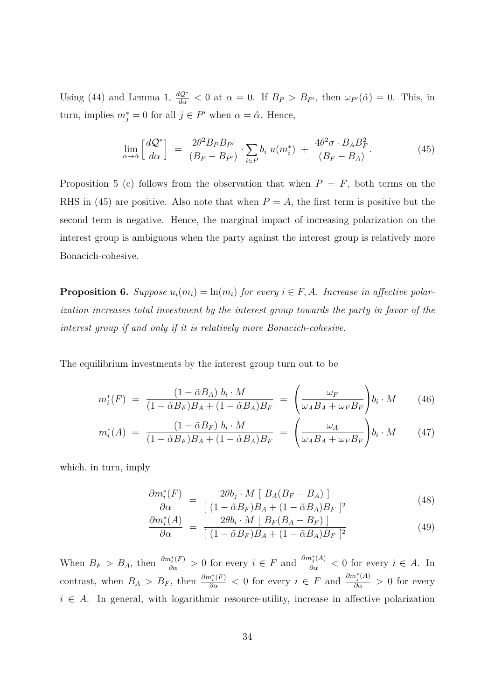Using (44) and Lemma 1,  $\frac{dQ^*}{d\alpha} < 0$  at  $\alpha = 0$ . If  $B_P > B_{P}$ , then  $\omega_{P'}(\hat{\alpha}) = 0$ . This, in turn, implies  $m_j^* = 0$  for all  $j \in P'$  when  $\alpha = \hat{\alpha}$ . Hence,

$$
\lim_{\alpha \to \hat{\alpha}} \left[ \frac{d\mathcal{Q}^*}{d\alpha} \right] = \frac{2\theta^2 B_P B_{P'}}{(B_P - B_{P'})} \cdot \sum_{i \in P} b_i \ u(m_i^*) + \frac{4\theta^2 \sigma \cdot B_A B_F^2}{(B_F - B_A)}.
$$
\n(45)

Proposition 5 (c) follows from the observation that when  $P = F$ , both terms on the RHS in (45) are positive. Also note that when  $P = A$ , the first term is positive but the second term is negative. Hence, the marginal impact of increasing polarization on the interest group is ambiguous when the party against the interest group is relatively more Bonacich-cohesive.

**Proposition 6.** *Suppose*  $u_i(m_i) = \ln(m_i)$  *for every*  $i \in F$ , *A. Increase in affective polarization increases total investment by the interest group towards the party in favor of the interest group if and only if it is relatively more Bonacich-cohesive*.

The equilibrium investments by the interest group turn out to be

$$
m_i^*(F) = \frac{(1 - \tilde{\alpha}B_A) b_i \cdot M}{(1 - \tilde{\alpha}B_F)B_A + (1 - \tilde{\alpha}B_A)B_F} = \left(\frac{\omega_F}{\omega_A B_A + \omega_F B_F}\right) b_i \cdot M \tag{46}
$$

$$
m_i^*(A) = \frac{(1 - \tilde{\alpha}B_F) b_i \cdot M}{(1 - \tilde{\alpha}B_F)B_A + (1 - \tilde{\alpha}B_A)B_F} = \left(\frac{\omega_A}{\omega_A B_A + \omega_F B_F}\right) b_i \cdot M \tag{47}
$$

which, in turn, imply

$$
\frac{\partial m_i^*(F)}{\partial \alpha} = \frac{2\theta b_j \cdot M \left[ B_A (B_F - B_A) \right]}{\left[ (1 - \tilde{\alpha} B_F) B_A + (1 - \tilde{\alpha} B_A) B_F \right]^2}
$$
(48)

$$
\frac{\partial m_i^*(A)}{\partial \alpha} = \frac{2\theta b_i \cdot M \left[ B_F (B_A - B_F) \right]}{\left[ (1 - \tilde{\alpha} B_F) B_A + (1 - \tilde{\alpha} B_A) B_F \right]^2}
$$
(49)

When  $B_F > B_A$ , then  $\frac{\partial m_i^*(F)}{\partial \alpha} > 0$  for every  $i \in F$  and  $\frac{\partial m_j^*(A)}{\partial \alpha} < 0$  for every  $i \in A$ . In contrast, when  $B_A > B_F$ , then  $\frac{\partial m_i^*(F)}{\partial \alpha} < 0$  for every  $i \in F$  and  $\frac{\partial m_j^*(A)}{\partial \alpha} > 0$  for every  $i \in A$ . In general, with logarithmic resource-utility, increase in affective polarization